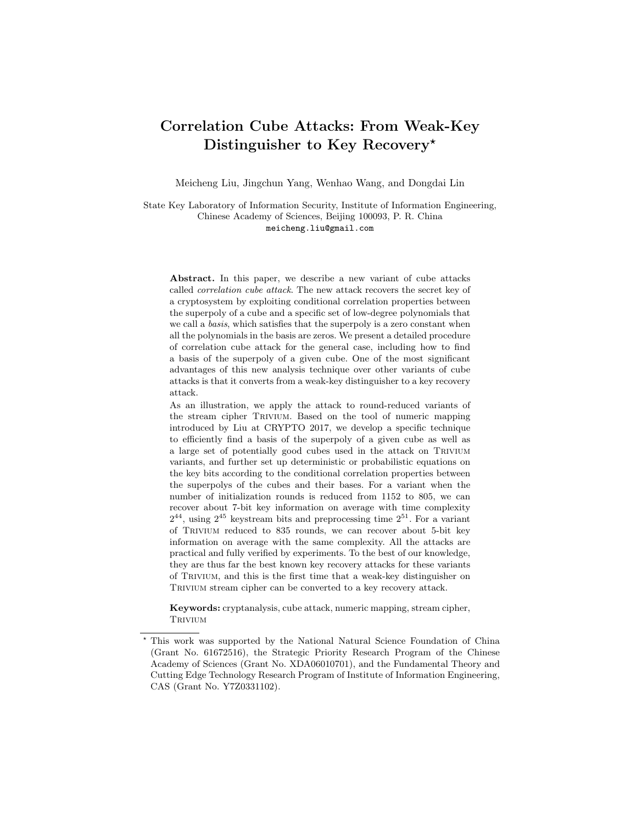## Correlation Cube Attacks: From Weak-Key Distinguisher to Key Recovery<sup>\*</sup>

Meicheng Liu, Jingchun Yang, Wenhao Wang, and Dongdai Lin

State Key Laboratory of Information Security, Institute of Information Engineering, Chinese Academy of Sciences, Beijing 100093, P. R. China meicheng.liu@gmail.com

Abstract. In this paper, we describe a new variant of cube attacks called correlation cube attack. The new attack recovers the secret key of a cryptosystem by exploiting conditional correlation properties between the superpoly of a cube and a specific set of low-degree polynomials that we call a basis, which satisfies that the superpoly is a zero constant when all the polynomials in the basis are zeros. We present a detailed procedure of correlation cube attack for the general case, including how to find a basis of the superpoly of a given cube. One of the most significant advantages of this new analysis technique over other variants of cube attacks is that it converts from a weak-key distinguisher to a key recovery attack.

As an illustration, we apply the attack to round-reduced variants of the stream cipher Trivium. Based on the tool of numeric mapping introduced by Liu at CRYPTO 2017, we develop a specific technique to efficiently find a basis of the superpoly of a given cube as well as a large set of potentially good cubes used in the attack on Trivium variants, and further set up deterministic or probabilistic equations on the key bits according to the conditional correlation properties between the superpolys of the cubes and their bases. For a variant when the number of initialization rounds is reduced from 1152 to 805, we can recover about 7-bit key information on average with time complexity  $2^{44}$ , using  $2^{45}$  keystream bits and preprocessing time  $2^{51}$ . For a variant of Trivium reduced to 835 rounds, we can recover about 5-bit key information on average with the same complexity. All the attacks are practical and fully verified by experiments. To the best of our knowledge, they are thus far the best known key recovery attacks for these variants of Trivium, and this is the first time that a weak-key distinguisher on TRIVIUM stream cipher can be converted to a key recovery attack.

Keywords: cryptanalysis, cube attack, numeric mapping, stream cipher, TRIVIUM

<sup>?</sup> This work was supported by the National Natural Science Foundation of China (Grant No. 61672516), the Strategic Priority Research Program of the Chinese Academy of Sciences (Grant No. XDA06010701), and the Fundamental Theory and Cutting Edge Technology Research Program of Institute of Information Engineering, CAS (Grant No. Y7Z0331102).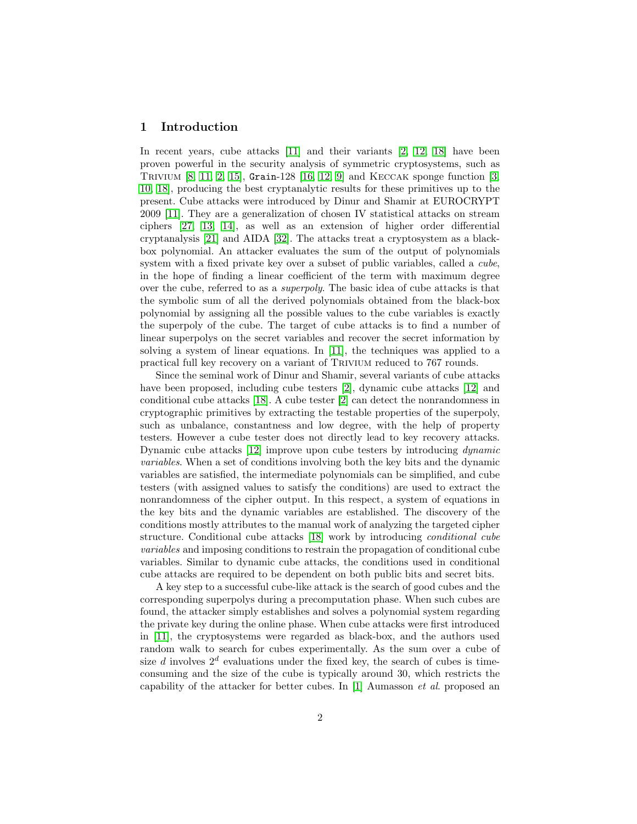### 1 Introduction

In recent years, cube attacks [\[11\]](#page-29-0) and their variants [\[2,](#page-29-1) [12,](#page-30-0) [18\]](#page-30-1) have been proven powerful in the security analysis of symmetric cryptosystems, such as Trivium [\[8,](#page-29-2) [11,](#page-29-0) [2,](#page-29-1) [15\]](#page-30-2), Grain-128 [\[16,](#page-30-3) [12,](#page-30-0) [9\]](#page-29-3) and Keccak sponge function [\[3,](#page-29-4) [10,](#page-29-5) [18\]](#page-30-1), producing the best cryptanalytic results for these primitives up to the present. Cube attacks were introduced by Dinur and Shamir at EUROCRYPT 2009 [\[11\]](#page-29-0). They are a generalization of chosen IV statistical attacks on stream ciphers [\[27,](#page-31-0) [13,](#page-30-4) [14\]](#page-30-5), as well as an extension of higher order differential cryptanalysis [\[21\]](#page-31-1) and AIDA [\[32\]](#page-31-2). The attacks treat a cryptosystem as a blackbox polynomial. An attacker evaluates the sum of the output of polynomials system with a fixed private key over a subset of public variables, called a cube, in the hope of finding a linear coefficient of the term with maximum degree over the cube, referred to as a superpoly. The basic idea of cube attacks is that the symbolic sum of all the derived polynomials obtained from the black-box polynomial by assigning all the possible values to the cube variables is exactly the superpoly of the cube. The target of cube attacks is to find a number of linear superpolys on the secret variables and recover the secret information by solving a system of linear equations. In [\[11\]](#page-29-0), the techniques was applied to a practical full key recovery on a variant of Trivium reduced to 767 rounds.

Since the seminal work of Dinur and Shamir, several variants of cube attacks have been proposed, including cube testers [\[2\]](#page-29-1), dynamic cube attacks [\[12\]](#page-30-0) and conditional cube attacks [\[18\]](#page-30-1). A cube tester [\[2\]](#page-29-1) can detect the nonrandomness in cryptographic primitives by extracting the testable properties of the superpoly, such as unbalance, constantness and low degree, with the help of property testers. However a cube tester does not directly lead to key recovery attacks. Dynamic cube attacks [\[12\]](#page-30-0) improve upon cube testers by introducing dynamic variables. When a set of conditions involving both the key bits and the dynamic variables are satisfied, the intermediate polynomials can be simplified, and cube testers (with assigned values to satisfy the conditions) are used to extract the nonrandomness of the cipher output. In this respect, a system of equations in the key bits and the dynamic variables are established. The discovery of the conditions mostly attributes to the manual work of analyzing the targeted cipher structure. Conditional cube attacks [\[18\]](#page-30-1) work by introducing conditional cube variables and imposing conditions to restrain the propagation of conditional cube variables. Similar to dynamic cube attacks, the conditions used in conditional cube attacks are required to be dependent on both public bits and secret bits.

A key step to a successful cube-like attack is the search of good cubes and the corresponding superpolys during a precomputation phase. When such cubes are found, the attacker simply establishes and solves a polynomial system regarding the private key during the online phase. When cube attacks were first introduced in [\[11\]](#page-29-0), the cryptosystems were regarded as black-box, and the authors used random walk to search for cubes experimentally. As the sum over a cube of size d involves  $2^d$  evaluations under the fixed key, the search of cubes is timeconsuming and the size of the cube is typically around 30, which restricts the capability of the attacker for better cubes. In [\[1\]](#page-29-6) Aumasson et al. proposed an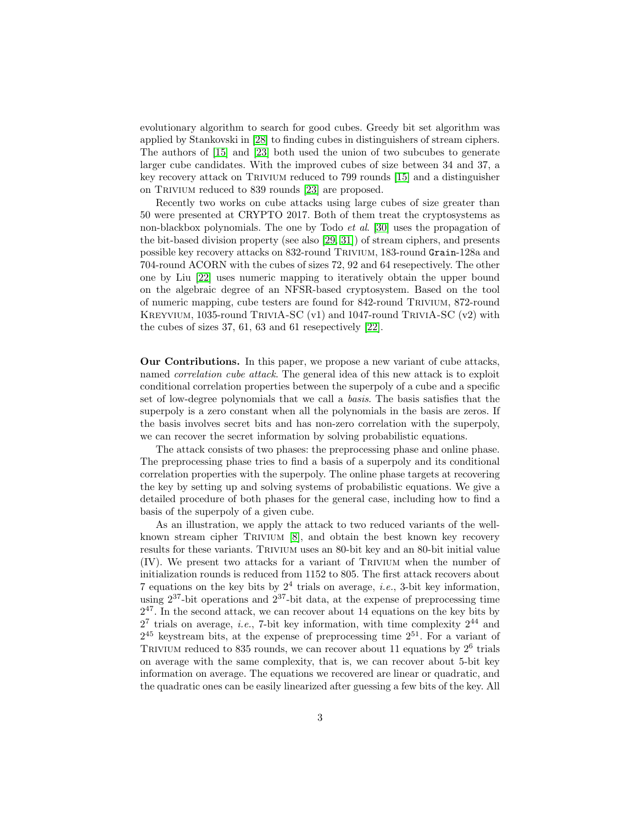evolutionary algorithm to search for good cubes. Greedy bit set algorithm was applied by Stankovski in [\[28\]](#page-31-3) to finding cubes in distinguishers of stream ciphers. The authors of [\[15\]](#page-30-2) and [\[23\]](#page-31-4) both used the union of two subcubes to generate larger cube candidates. With the improved cubes of size between 34 and 37, a key recovery attack on Trivium reduced to 799 rounds [\[15\]](#page-30-2) and a distinguisher on TRIVIUM reduced to 839 rounds [\[23\]](#page-31-4) are proposed.

Recently two works on cube attacks using large cubes of size greater than 50 were presented at CRYPTO 2017. Both of them treat the cryptosystems as non-blackbox polynomials. The one by Todo et al. [\[30\]](#page-31-5) uses the propagation of the bit-based division property (see also [\[29,](#page-31-6) [31\]](#page-31-7)) of stream ciphers, and presents possible key recovery attacks on 832-round Trivium, 183-round Grain-128a and 704-round ACORN with the cubes of sizes 72, 92 and 64 resepectively. The other one by Liu [\[22\]](#page-31-8) uses numeric mapping to iteratively obtain the upper bound on the algebraic degree of an NFSR-based cryptosystem. Based on the tool of numeric mapping, cube testers are found for 842-round Trivium, 872-round Kreyvium, 1035-round TriviA-SC (v1) and 1047-round TriviA-SC (v2) with the cubes of sizes 37, 61, 63 and 61 resepectively [\[22\]](#page-31-8).

Our Contributions. In this paper, we propose a new variant of cube attacks, named *correlation cube attack*. The general idea of this new attack is to exploit conditional correlation properties between the superpoly of a cube and a specific set of low-degree polynomials that we call a basis. The basis satisfies that the superpoly is a zero constant when all the polynomials in the basis are zeros. If the basis involves secret bits and has non-zero correlation with the superpoly, we can recover the secret information by solving probabilistic equations.

The attack consists of two phases: the preprocessing phase and online phase. The preprocessing phase tries to find a basis of a superpoly and its conditional correlation properties with the superpoly. The online phase targets at recovering the key by setting up and solving systems of probabilistic equations. We give a detailed procedure of both phases for the general case, including how to find a basis of the superpoly of a given cube.

As an illustration, we apply the attack to two reduced variants of the wellknown stream cipher Trivium [\[8\]](#page-29-2), and obtain the best known key recovery results for these variants. TRIVIUM uses an 80-bit key and an 80-bit initial value (IV). We present two attacks for a variant of Trivium when the number of initialization rounds is reduced from 1152 to 805. The first attack recovers about 7 equations on the key bits by  $2^4$  trials on average, *i.e.*, 3-bit key information, using  $2^{37}$ -bit operations and  $2^{37}$ -bit data, at the expense of preprocessing time  $2^{47}$ . In the second attack, we can recover about 14 equations on the key bits by  $2<sup>7</sup>$  trials on average, *i.e.*, 7-bit key information, with time complexity  $2<sup>44</sup>$  and  $2^{45}$  keystream bits, at the expense of preprocessing time  $2^{51}$ . For a variant of TRIVIUM reduced to 835 rounds, we can recover about 11 equations by  $2^6$  trials on average with the same complexity, that is, we can recover about 5-bit key information on average. The equations we recovered are linear or quadratic, and the quadratic ones can be easily linearized after guessing a few bits of the key. All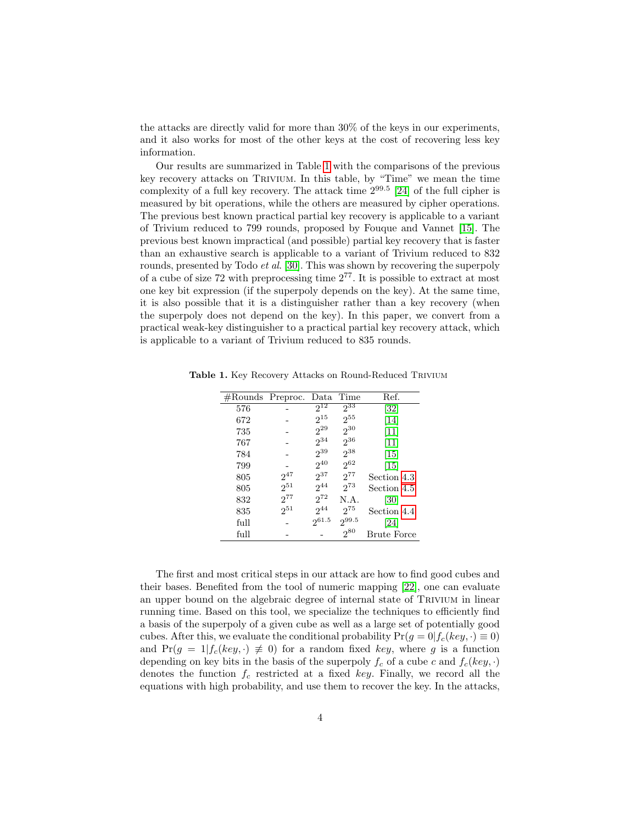the attacks are directly valid for more than 30% of the keys in our experiments, and it also works for most of the other keys at the cost of recovering less key information.

Our results are summarized in Table [1](#page-3-0) with the comparisons of the previous key recovery attacks on TRIVIUM. In this table, by "Time" we mean the time complexity of a full key recovery. The attack time 299.<sup>5</sup> [\[24\]](#page-31-9) of the full cipher is measured by bit operations, while the others are measured by cipher operations. The previous best known practical partial key recovery is applicable to a variant of Trivium reduced to 799 rounds, proposed by Fouque and Vannet [\[15\]](#page-30-2). The previous best known impractical (and possible) partial key recovery that is faster than an exhaustive search is applicable to a variant of Trivium reduced to 832 rounds, presented by Todo et al. [\[30\]](#page-31-5). This was shown by recovering the superpoly of a cube of size 72 with preprocessing time 277. It is possible to extract at most one key bit expression (if the superpoly depends on the key). At the same time, it is also possible that it is a distinguisher rather than a key recovery (when the superpoly does not depend on the key). In this paper, we convert from a practical weak-key distinguisher to a practical partial key recovery attack, which is applicable to a variant of Trivium reduced to 835 rounds.

<span id="page-3-0"></span>

| $\#$ Rounds Preproc. Data |          |          | Time       | Ref.               |
|---------------------------|----------|----------|------------|--------------------|
| 576                       |          | $2^{12}$ | $2^{33}$   | $\left[ 32\right]$ |
| 672                       |          | $2^{15}$ | $2^{55}$   | 14                 |
| 735                       |          | $2^{29}$ | $2^{30}$   | $\vert 11 \vert$   |
| 767                       |          | $2^{34}$ | $2^{36}$   | $\vert 11 \vert$   |
| 784                       |          | $2^{39}$ | $2^{38}$   | $\vert 15 \vert$   |
| 799                       |          | $2^{40}$ | $2^{62}$   | $\left[15\right]$  |
| 805                       | $2^{47}$ | $2^{37}$ | $2^{77}$   | Section 4.3        |
| 805                       | $2^{51}$ | $2^{44}$ | $2^{73}$   | Section 4.5        |
| 832                       | $2^{77}$ | $2^{72}$ | N.A.       | [30]               |
| 835                       | $2^{51}$ | $2^{44}$ | $2^{75}$   | Section 4.4        |
| full                      |          | 261.5    | $2^{99.5}$ | [24]               |
| full                      |          |          | $2^{80}$   | Brute Force        |

Table 1. Key Recovery Attacks on Round-Reduced TRIVIUM

The first and most critical steps in our attack are how to find good cubes and their bases. Benefited from the tool of numeric mapping [\[22\]](#page-31-8), one can evaluate an upper bound on the algebraic degree of internal state of TRIVIUM in linear running time. Based on this tool, we specialize the techniques to efficiently find a basis of the superpoly of a given cube as well as a large set of potentially good cubes. After this, we evaluate the conditional probability  $Pr(q = 0|f_c(key, \cdot) \equiv 0)$ and  $Pr(g = 1|f_c(key, \cdot) \neq 0)$  for a random fixed key, where g is a function depending on key bits in the basis of the superpoly  $f_c$  of a cube c and  $f_c(key, \cdot)$ denotes the function  $f_c$  restricted at a fixed key. Finally, we record all the equations with high probability, and use them to recover the key. In the attacks,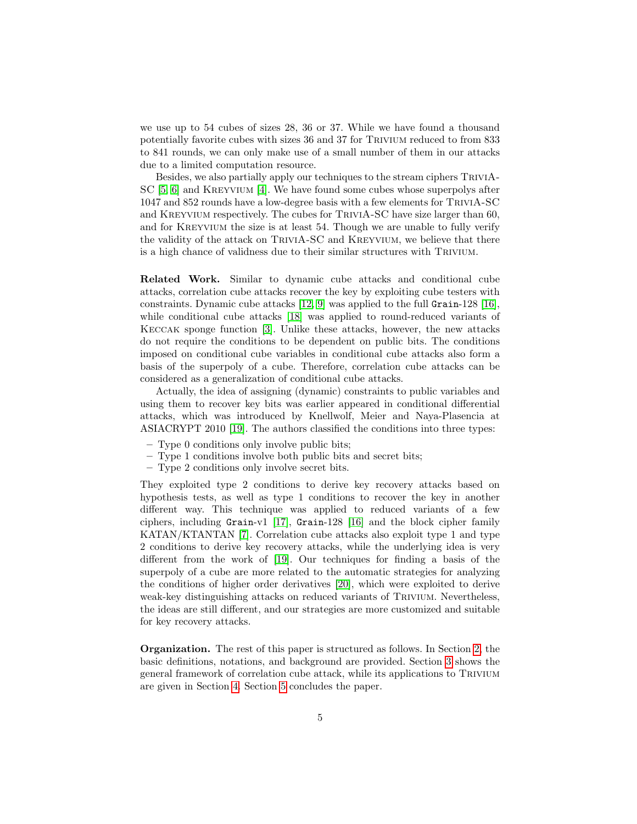we use up to 54 cubes of sizes 28, 36 or 37. While we have found a thousand potentially favorite cubes with sizes 36 and 37 for Trivium reduced to from 833 to 841 rounds, we can only make use of a small number of them in our attacks due to a limited computation resource.

Besides, we also partially apply our techniques to the stream ciphers TriviA-SC [\[5,](#page-29-7) [6\]](#page-29-8) and KREYVIUM [\[4\]](#page-29-9). We have found some cubes whose superpolys after 1047 and 852 rounds have a low-degree basis with a few elements for TriviA-SC and Kreyvium respectively. The cubes for TriviA-SC have size larger than 60, and for Kreyvium the size is at least 54. Though we are unable to fully verify the validity of the attack on TRIVIA-SC and KREYVIUM, we believe that there is a high chance of validness due to their similar structures with Trivium.

Related Work. Similar to dynamic cube attacks and conditional cube attacks, correlation cube attacks recover the key by exploiting cube testers with constraints. Dynamic cube attacks  $[12, 9]$  $[12, 9]$  was applied to the full Grain-128  $[16]$ , while conditional cube attacks [\[18\]](#page-30-1) was applied to round-reduced variants of Keccak sponge function [\[3\]](#page-29-4). Unlike these attacks, however, the new attacks do not require the conditions to be dependent on public bits. The conditions imposed on conditional cube variables in conditional cube attacks also form a basis of the superpoly of a cube. Therefore, correlation cube attacks can be considered as a generalization of conditional cube attacks.

Actually, the idea of assigning (dynamic) constraints to public variables and using them to recover key bits was earlier appeared in conditional differential attacks, which was introduced by Knellwolf, Meier and Naya-Plasencia at ASIACRYPT 2010 [\[19\]](#page-30-6). The authors classified the conditions into three types:

- Type 0 conditions only involve public bits;
- Type 1 conditions involve both public bits and secret bits;
- Type 2 conditions only involve secret bits.

They exploited type 2 conditions to derive key recovery attacks based on hypothesis tests, as well as type 1 conditions to recover the key in another different way. This technique was applied to reduced variants of a few ciphers, including Grain-v1 [\[17\]](#page-30-7), Grain-128 [\[16\]](#page-30-3) and the block cipher family KATAN/KTANTAN [\[7\]](#page-29-10). Correlation cube attacks also exploit type 1 and type 2 conditions to derive key recovery attacks, while the underlying idea is very different from the work of [\[19\]](#page-30-6). Our techniques for finding a basis of the superpoly of a cube are more related to the automatic strategies for analyzing the conditions of higher order derivatives [\[20\]](#page-30-8), which were exploited to derive weak-key distinguishing attacks on reduced variants of Trivium. Nevertheless, the ideas are still different, and our strategies are more customized and suitable for key recovery attacks.

Organization. The rest of this paper is structured as follows. In Section [2,](#page-5-0) the basic definitions, notations, and background are provided. Section [3](#page-6-0) shows the general framework of correlation cube attack, while its applications to Trivium are given in Section [4.](#page-11-0) Section [5](#page-21-0) concludes the paper.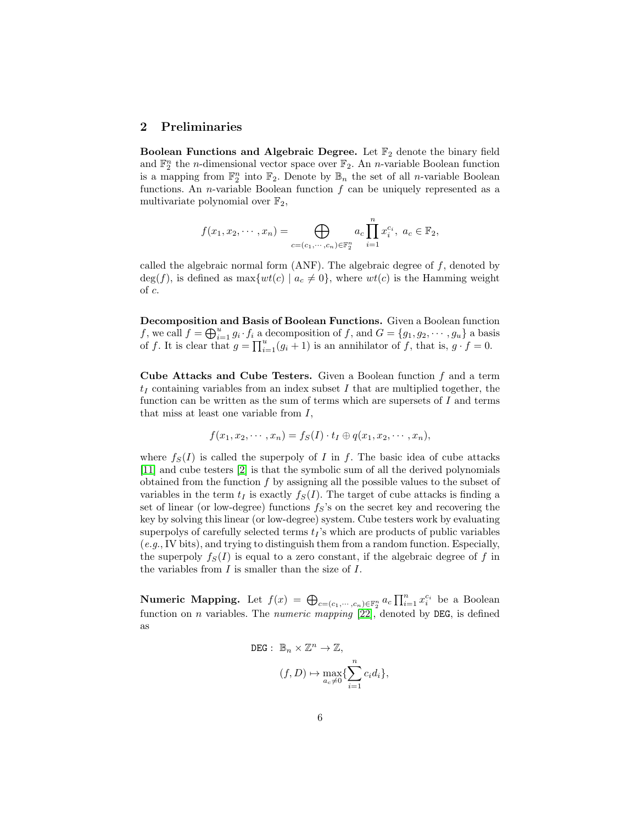## <span id="page-5-0"></span>2 Preliminaries

Boolean Functions and Algebraic Degree. Let  $\mathbb{F}_2$  denote the binary field and  $\mathbb{F}_2^n$  the *n*-dimensional vector space over  $\mathbb{F}_2$ . An *n*-variable Boolean function is a mapping from  $\mathbb{F}_2^n$  into  $\mathbb{F}_2$ . Denote by  $\mathbb{B}_n$  the set of all *n*-variable Boolean functions. An *n*-variable Boolean function  $f$  can be uniquely represented as a multivariate polynomial over  $\mathbb{F}_2$ ,

$$
f(x_1, x_2, \cdots, x_n) = \bigoplus_{c = (c_1, \cdots, c_n) \in \mathbb{F}_2^n} a_c \prod_{i=1}^n x_i^{c_i}, \ a_c \in \mathbb{F}_2,
$$

called the algebraic normal form  $(ANF)$ . The algebraic degree of f, denoted by  $deg(f)$ , is defined as  $max\{wt(c) | a_c \neq 0\}$ , where  $wt(c)$  is the Hamming weight of c.

Decomposition and Basis of Boolean Functions. Given a Boolean function f, we call  $f = \bigoplus_{i=1}^{u} g_i \cdot f_i$  a decomposition of f, and  $G = \{g_1, g_2, \dots, g_u\}$  a basis of f. It is clear that  $g = \prod_{i=1}^{u} (g_i + 1)$  is an annihilator of f, that is,  $g \cdot f = 0$ .

Cube Attacks and Cube Testers. Given a Boolean function f and a term  $t_I$  containing variables from an index subset I that are multiplied together, the function can be written as the sum of terms which are supersets of I and terms that miss at least one variable from I,

$$
f(x_1, x_2, \cdots, x_n) = f_S(I) \cdot t_I \oplus q(x_1, x_2, \cdots, x_n),
$$

where  $f<sub>S</sub>(I)$  is called the superpoly of I in f. The basic idea of cube attacks [\[11\]](#page-29-0) and cube testers [\[2\]](#page-29-1) is that the symbolic sum of all the derived polynomials obtained from the function  $f$  by assigning all the possible values to the subset of variables in the term  $t_I$  is exactly  $f_S(I)$ . The target of cube attacks is finding a set of linear (or low-degree) functions  $f_S$ 's on the secret key and recovering the key by solving this linear (or low-degree) system. Cube testers work by evaluating superpolys of carefully selected terms  $t_I$ 's which are products of public variables (e.g., IV bits), and trying to distinguish them from a random function. Especially, the superpoly  $f_S(I)$  is equal to a zero constant, if the algebraic degree of f in the variables from  $I$  is smaller than the size of  $I$ .

**Numeric Mapping.** Let  $f(x) = \bigoplus_{c=(c_1,\dots,c_n)\in\mathbb{F}_2^n} a_c \prod_{i=1}^n x_i^{c_i}$  be a Boolean function on *n* variables. The *numeric mapping*  $[22]$ , denoted by DEG, is defined as

$$
\begin{aligned} \texttt{DEG}: \ \mathbb{B}_n \times \mathbb{Z}^n \to \mathbb{Z}, \\ (f, D) \mapsto \max_{a_c \neq 0} \{ \sum_{i=1}^n c_i d_i \}, \end{aligned}
$$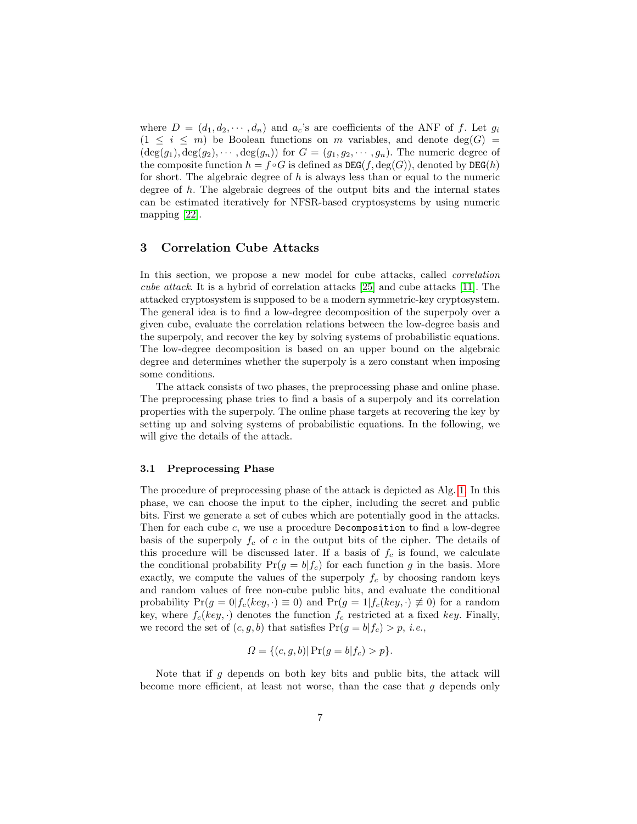where  $D = (d_1, d_2, \dots, d_n)$  and  $a_c$ 's are coefficients of the ANF of f. Let  $g_i$  $(1 \leq i \leq m)$  be Boolean functions on m variables, and denote  $deg(G)$  $(\deg(g_1), \deg(g_2), \cdots, \deg(g_n))$  for  $G = (g_1, g_2, \cdots, g_n)$ . The numeric degree of the composite function  $h = f \circ G$  is defined as  $DEG(f, deg(G))$ , denoted by  $DEG(h)$ for short. The algebraic degree of  $h$  is always less than or equal to the numeric degree of  $h$ . The algebraic degrees of the output bits and the internal states can be estimated iteratively for NFSR-based cryptosystems by using numeric mapping [\[22\]](#page-31-8).

### <span id="page-6-0"></span>3 Correlation Cube Attacks

In this section, we propose a new model for cube attacks, called correlation cube attack. It is a hybrid of correlation attacks [\[25\]](#page-31-10) and cube attacks [\[11\]](#page-29-0). The attacked cryptosystem is supposed to be a modern symmetric-key cryptosystem. The general idea is to find a low-degree decomposition of the superpoly over a given cube, evaluate the correlation relations between the low-degree basis and the superpoly, and recover the key by solving systems of probabilistic equations. The low-degree decomposition is based on an upper bound on the algebraic degree and determines whether the superpoly is a zero constant when imposing some conditions.

The attack consists of two phases, the preprocessing phase and online phase. The preprocessing phase tries to find a basis of a superpoly and its correlation properties with the superpoly. The online phase targets at recovering the key by setting up and solving systems of probabilistic equations. In the following, we will give the details of the attack.

#### 3.1 Preprocessing Phase

The procedure of preprocessing phase of the attack is depicted as Alg. [1.](#page-7-0) In this phase, we can choose the input to the cipher, including the secret and public bits. First we generate a set of cubes which are potentially good in the attacks. Then for each cube c, we use a procedure Decomposition to find a low-degree basis of the superpoly  $f_c$  of c in the output bits of the cipher. The details of this procedure will be discussed later. If a basis of  $f_c$  is found, we calculate the conditional probability  $Pr(g = b|f_c)$  for each function g in the basis. More exactly, we compute the values of the superpoly  $f_c$  by choosing random keys and random values of free non-cube public bits, and evaluate the conditional probability  $Pr(g = 0|f_c(key, \cdot) \equiv 0)$  and  $Pr(g = 1|f_c(key, \cdot) \not\equiv 0)$  for a random key, where  $f_c(key, \cdot)$  denotes the function  $f_c$  restricted at a fixed key. Finally, we record the set of  $(c, g, b)$  that satisfies  $Pr(g = b | f_c) > p$ , *i.e.*,

$$
\Omega = \{(c, g, b) | \Pr(g = b | f_c) > p\}.
$$

Note that if  $g$  depends on both key bits and public bits, the attack will become more efficient, at least not worse, than the case that  $q$  depends only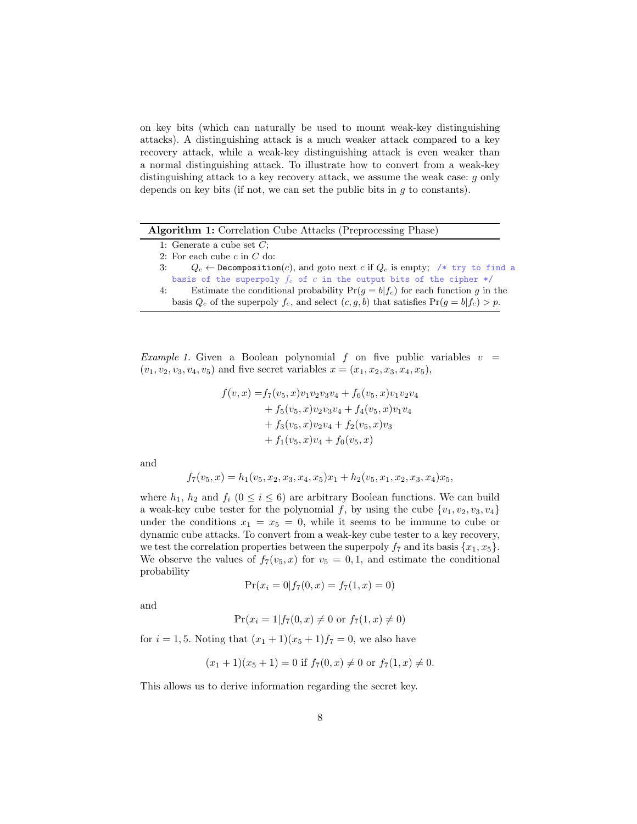on key bits (which can naturally be used to mount weak-key distinguishing attacks). A distinguishing attack is a much weaker attack compared to a key recovery attack, while a weak-key distinguishing attack is even weaker than a normal distinguishing attack. To illustrate how to convert from a weak-key distinguishing attack to a key recovery attack, we assume the weak case: g only depends on key bits (if not, we can set the public bits in  $g$  to constants).

| <b>Algorithm 1:</b> Correlation Cube Attacks (Preprocessing Phase) |  |  |
|--------------------------------------------------------------------|--|--|
|--------------------------------------------------------------------|--|--|

- <span id="page-7-0"></span>1: Generate a cube set  $C$ ;
- 2: For each cube  $c$  in  $C$  do:
- 3:  $Q_c \leftarrow \text{Decomposition}(c)$ , and goto next c if  $Q_c$  is empty; /\* try to find a basis of the superpoly  $f_c$  of  $c$  in the output bits of the cipher  $*/$
- <span id="page-7-1"></span>4: Estimate the conditional probability  $Pr(g = b | f_c)$  for each function g in the basis  $Q_c$  of the superpoly  $f_c$ , and select  $(c, g, b)$  that satisfies  $Pr(g = b|f_c) > p$ .

*Example 1.* Given a Boolean polynomial f on five public variables  $v =$  $(v_1, v_2, v_3, v_4, v_5)$  and five secret variables  $x = (x_1, x_2, x_3, x_4, x_5)$ ,

$$
f(v,x) = f_7(v_5, x)v_1v_2v_3v_4 + f_6(v_5, x)v_1v_2v_4
$$
  
+  $f_5(v_5, x)v_2v_3v_4 + f_4(v_5, x)v_1v_4$   
+  $f_3(v_5, x)v_2v_4 + f_2(v_5, x)v_3$   
+  $f_1(v_5, x)v_4 + f_0(v_5, x)$ 

and

$$
f_7(v_5, x) = h_1(v_5, x_2, x_3, x_4, x_5)x_1 + h_2(v_5, x_1, x_2, x_3, x_4)x_5,
$$

where  $h_1$ ,  $h_2$  and  $f_i$  ( $0 \le i \le 6$ ) are arbitrary Boolean functions. We can build a weak-key cube tester for the polynomial f, by using the cube  $\{v_1, v_2, v_3, v_4\}$ under the conditions  $x_1 = x_5 = 0$ , while it seems to be immune to cube or dynamic cube attacks. To convert from a weak-key cube tester to a key recovery, we test the correlation properties between the superpoly  $f_7$  and its basis  $\{x_1, x_5\}$ . We observe the values of  $f_7(v_5, x)$  for  $v_5 = 0, 1$ , and estimate the conditional probability

$$
Pr(x_i = 0 | f_7(0, x) = f_7(1, x) = 0)
$$

and

$$
Pr(x_i = 1 | f_7(0, x) \neq 0 \text{ or } f_7(1, x) \neq 0)
$$

for  $i = 1, 5$ . Noting that  $(x_1 + 1)(x_5 + 1)f_7 = 0$ , we also have

$$
(x_1 + 1)(x_5 + 1) = 0
$$
 if  $f_7(0, x) \neq 0$  or  $f_7(1, x) \neq 0$ .

This allows us to derive information regarding the secret key.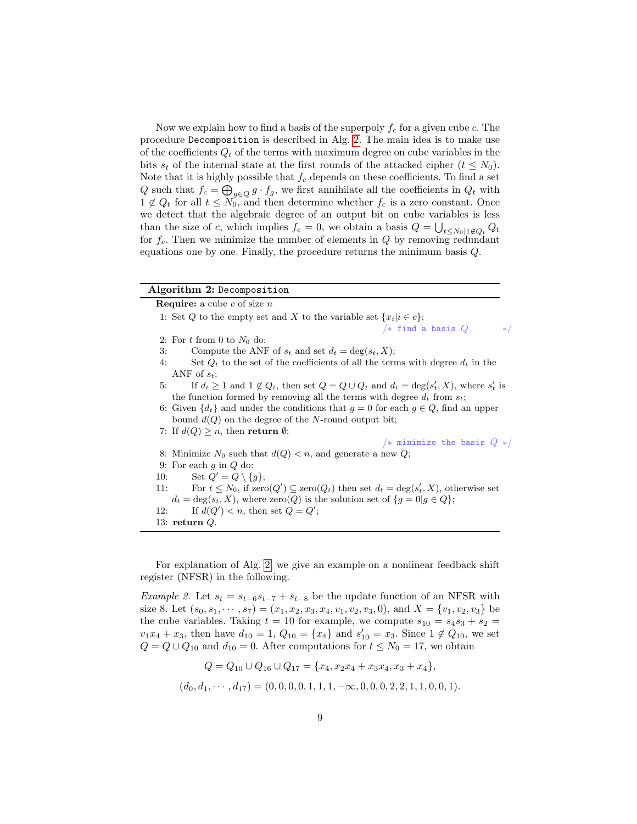Now we explain how to find a basis of the superpoly  $f_c$  for a given cube c. The procedure Decomposition is described in Alg. [2.](#page-8-0) The main idea is to make use of the coefficients  $Q_t$  of the terms with maximum degree on cube variables in the bits  $s_t$  of the internal state at the first rounds of the attacked cipher  $(t \leq N_0)$ . Note that it is highly possible that  $f_c$  depends on these coefficients. To find a set Q such that  $f_c = \bigoplus_{g \in Q} g \cdot f_g$ , we first annihilate all the coefficients in  $Q_t$  with  $1 \notin Q_t$  for all  $t \leq N_0$ , and then determine whether  $f_c$  is a zero constant. Once we detect that the algebraic degree of an output bit on cube variables is less than the size of c, which implies  $f_c = 0$ , we obtain a basis  $Q = \bigcup_{t \le N_0} \iota_{\mathcal{L}} Q_t Q_t$ for  $f_c$ . Then we minimize the number of elements in Q by removing redundant equations one by one. Finally, the procedure returns the minimum basis Q.

## Algorithm 2: Decomposition **Require:** a cube  $c$  of size  $n$

<span id="page-8-0"></span>

| 1: Set Q to the empty set and X to the variable set $\{x_i   i \in c\}$ ; |  |
|---------------------------------------------------------------------------|--|
|---------------------------------------------------------------------------|--|

<span id="page-8-1"></span>/ $∗$  find a basis  $Q$ 

2: For  $t$  from 0 to  $N_0$  do:

- 3: Compute the ANF of  $s_t$  and set  $d_t = \deg(s_t, X)$ ;
- 4: Set  $Q_t$  to the set of the coefficients of all the terms with degree  $d_t$  in the ANF of  $s_t$ ;
- <span id="page-8-2"></span>5: If  $d_t \geq 1$  and  $1 \notin Q_t$ , then set  $Q = Q \cup Q_t$  and  $d_t = \deg(s'_t, X)$ , where  $s'_t$  is the function formed by removing all the terms with degree  $d_t$  from  $s_t$ ;

6: Given  $\{d_t\}$  and under the conditions that  $q = 0$  for each  $q \in Q$ , find an upper bound  $d(Q)$  on the degree of the N-round output bit;

```
7: If d(Q) \geq n, then return \emptyset;
```
 $/*$  minimize the basis  $Q$  \*/

- 8: Minimize  $N_0$  such that  $d(Q) < n$ , and generate a new  $Q$ ;
- 9: For each  $g$  in  $Q$  do:
- 10: Set  $Q' = Q \setminus \{g\};$
- 11: For  $t \leq N_0$ , if  $\text{zero}(Q') \subseteq \text{zero}(Q_t)$  then set  $d_t = \deg(s'_t, X)$ , otherwise set  $d_t = \deg(s_t, X)$ , where  $\text{zero}(Q)$  is the solution set of  $\{q = 0 | q \in Q\}$ ;
- 12: If  $d(Q') < n$ , then set  $Q = Q'$ ;

13: return Q.

For explanation of Alg. [2,](#page-8-0) we give an example on a nonlinear feedback shift register (NFSR) in the following.

Example 2. Let  $s_t = s_{t-6}s_{t-7} + s_{t-8}$  be the update function of an NFSR with size 8. Let  $(s_0, s_1, \dots, s_7) = (x_1, x_2, x_3, x_4, v_1, v_2, v_3, 0)$ , and  $X = \{v_1, v_2, v_3\}$  be the cube variables. Taking  $t = 10$  for example, we compute  $s_{10} = s_4 s_3 + s_2 =$  $v_1x_4 + x_3$ , then have  $d_{10} = 1$ ,  $Q_{10} = \{x_4\}$  and  $s'_{10} = x_3$ . Since  $1 \notin Q_{10}$ , we set  $Q = Q \cup Q_{10}$  and  $d_{10} = 0$ . After computations for  $t \leq N_0 = 17$ , we obtain

$$
Q = Q_{10} \cup Q_{16} \cup Q_{17} = \{x_4, x_2x_4 + x_3x_4, x_3 + x_4\},\
$$

 $(d_0, d_1, \dots, d_{17}) = (0, 0, 0, 0, 1, 1, 1, -\infty, 0, 0, 0, 2, 2, 1, 1, 0, 0, 1).$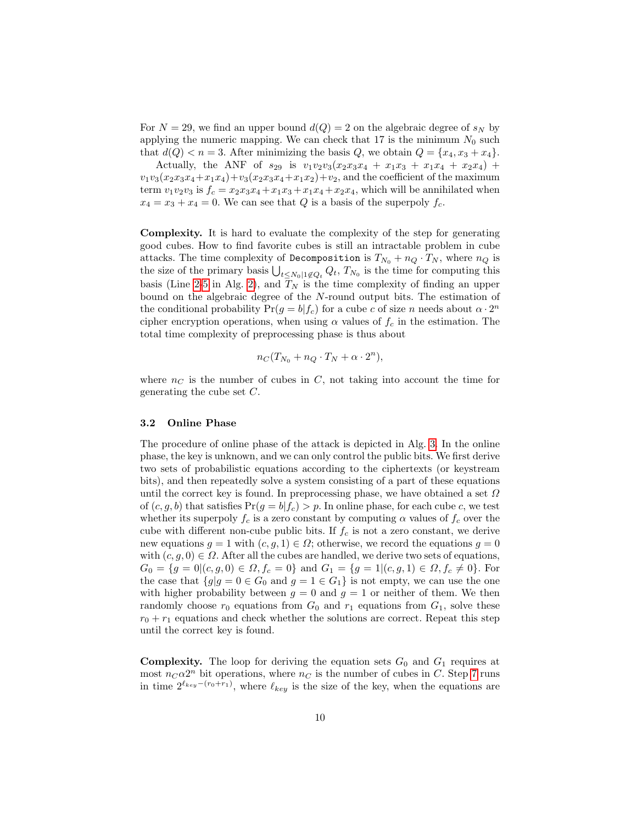For  $N = 29$ , we find an upper bound  $d(Q) = 2$  on the algebraic degree of  $s_N$  by applying the numeric mapping. We can check that 17 is the minimum  $N_0$  such that  $d(Q) < n = 3$ . After minimizing the basis Q, we obtain  $Q = \{x_4, x_3 + x_4\}.$ 

Actually, the ANF of  $s_{29}$  is  $v_1v_2v_3(x_2x_3x_4 + x_1x_3 + x_1x_4 + x_2x_4)$  +  $v_1v_3(x_2x_3x_4+x_1x_4)+v_3(x_2x_3x_4+x_1x_2)+v_2$ , and the coefficient of the maximum term  $v_1v_2v_3$  is  $f_c = x_2x_3x_4 + x_1x_3 + x_1x_4 + x_2x_4$ , which will be annihilated when  $x_4 = x_3 + x_4 = 0$ . We can see that Q is a basis of the superpoly  $f_c$ .

Complexity. It is hard to evaluate the complexity of the step for generating good cubes. How to find favorite cubes is still an intractable problem in cube attacks. The time complexity of Decomposition is  $T_{N_0} + n_Q \cdot T_N$ , where  $n_Q$  is the size of the primary basis  $\bigcup_{t \leq N_0} \bigcup_{q \in Q_t} Q_t$ ,  $T_{N_0}$  is the time for computing this basis (Line [2-](#page-8-1)[5](#page-8-2) in Alg. [2\)](#page-8-0), and  $T_N$  is the time complexity of finding an upper bound on the algebraic degree of the N-round output bits. The estimation of the conditional probability  $Pr(g = b | f_c)$  for a cube c of size n needs about  $\alpha \cdot 2^n$ cipher encryption operations, when using  $\alpha$  values of  $f_c$  in the estimation. The total time complexity of preprocessing phase is thus about

$$
n_C(T_{N_0} + n_Q \cdot T_N + \alpha \cdot 2^n),
$$

where  $n<sub>C</sub>$  is the number of cubes in C, not taking into account the time for generating the cube set  $C$ .

#### <span id="page-9-0"></span>3.2 Online Phase

The procedure of online phase of the attack is depicted in Alg. [3.](#page-10-0) In the online phase, the key is unknown, and we can only control the public bits. We first derive two sets of probabilistic equations according to the ciphertexts (or keystream bits), and then repeatedly solve a system consisting of a part of these equations until the correct key is found. In preprocessing phase, we have obtained a set  $\Omega$ of  $(c, g, b)$  that satisfies  $Pr(g = b | f_c) > p$ . In online phase, for each cube c, we test whether its superpoly  $f_c$  is a zero constant by computing  $\alpha$  values of  $f_c$  over the cube with different non-cube public bits. If  $f_c$  is not a zero constant, we derive new equations  $g = 1$  with  $(c, g, 1) \in \Omega$ ; otherwise, we record the equations  $g = 0$ with  $(c, g, 0) \in \Omega$ . After all the cubes are handled, we derive two sets of equations,  $G_0 = \{g = 0 | (c, g, 0) \in \Omega, f_c = 0\}$  and  $G_1 = \{g = 1 | (c, g, 1) \in \Omega, f_c \neq 0\}$ . For the case that  ${g|g = 0 \in G_0 \text{ and } g = 1 \in G_1}$  is not empty, we can use the one with higher probability between  $g = 0$  and  $g = 1$  or neither of them. We then randomly choose  $r_0$  equations from  $G_0$  and  $r_1$  equations from  $G_1$ , solve these  $r_0 + r_1$  equations and check whether the solutions are correct. Repeat this step until the correct key is found.

**Complexity.** The loop for deriving the equation sets  $G_0$  and  $G_1$  requires at most  $n_C \alpha 2^n$  bit operations, where  $n_C$  is the number of cubes in C. Step [7](#page-10-1) runs in time  $2^{\ell_{key}-(r_0+r_1)}$ , where  $\ell_{key}$  is the size of the key, when the equations are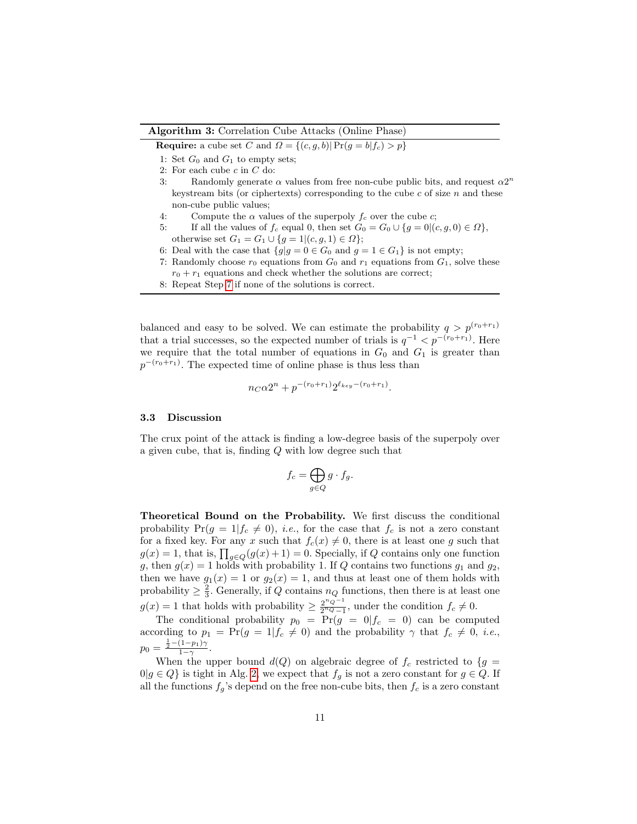#### Algorithm 3: Correlation Cube Attacks (Online Phase)

<span id="page-10-0"></span>**Require:** a cube set C and  $\Omega = \{(c, g, b) | Pr(g = b | f_c) > p\}$ 

- 1: Set  $G_0$  and  $G_1$  to empty sets;
- <span id="page-10-3"></span>2: For each cube  $c$  in  $C$  do:
- 3: Randomly generate  $\alpha$  values from free non-cube public bits, and request  $\alpha 2^n$ keystream bits (or ciphertexts) corresponding to the cube  $c$  of size  $n$  and these non-cube public values;
- 4: Compute the  $\alpha$  values of the superpoly  $f_c$  over the cube c;
- <span id="page-10-4"></span>5: If all the values of  $f_c$  equal 0, then set  $G_0 = G_0 \cup \{g = 0 | (c, g, 0) \in \Omega\},\$ otherwise set *G*<sub>1</sub> = *G*<sub>1</sub> ∪ {*g* = 1|(*c*, *g*, 1) ∈ *Ω*};
- <span id="page-10-5"></span>6: Deal with the case that  ${g|g = 0 \in G_0 \text{ and } g = 1 \in G_1}$  is not empty;
- <span id="page-10-1"></span>7: Randomly choose  $r_0$  equations from  $G_0$  and  $r_1$  equations from  $G_1$ , solve these  $r_0 + r_1$  equations and check whether the solutions are correct;
- 8: Repeat Step [7](#page-10-1) if none of the solutions is correct.

balanced and easy to be solved. We can estimate the probability  $q > p^{(r_0+r_1)}$ that a trial successes, so the expected number of trials is  $q^{-1} < p^{-(r_0+r_1)}$ . Here we require that the total number of equations in  $G_0$  and  $G_1$  is greater than  $p^{-(r_0+r_1)}$ . The expected time of online phase is thus less than

$$
n_C\alpha 2^{n} + p^{-(r_0+r_1)} 2^{\ell_{key}-(r_0+r_1)}.
$$

#### <span id="page-10-2"></span>3.3 Discussion

The crux point of the attack is finding a low-degree basis of the superpoly over a given cube, that is, finding Q with low degree such that

$$
f_c = \bigoplus_{g \in Q} g \cdot f_g.
$$

Theoretical Bound on the Probability. We first discuss the conditional probability  $Pr(g = 1|f_c \neq 0)$ , *i.e.*, for the case that  $f_c$  is not a zero constant for a fixed key. For any x such that  $f_c(x) \neq 0$ , there is at least one g such that  $g(x) = 1$ , that is,  $\prod_{g \in Q} (g(x) + 1) = 0$ . Specially, if Q contains only one function g, then  $g(x) = 1$  holds with probability 1. If Q contains two functions  $g_1$  and  $g_2$ , then we have  $g_1(x) = 1$  or  $g_2(x) = 1$ , and thus at least one of them holds with probability  $\geq \frac{2}{3}$ . Generally, if Q contains  $n_Q$  functions, then there is at least one  $g(x) = 1$  that holds with probability  $\geq \frac{2^{nQ-1}}{2^nQ-1}$  $\frac{2^{n}Q}{2^{n}Q-1}$ , under the condition  $f_c \neq 0$ .

The conditional probability  $p_0 = \Pr(g = 0 | f_c = 0)$  can be computed according to  $p_1 = \Pr(g = 1 | f_c \neq 0)$  and the probability  $\gamma$  that  $f_c \neq 0$ , *i.e.*,  $p_0 = \frac{\frac{1}{2} - (1 - p_1)\gamma}{1 - \gamma}.$ 

When the upper bound  $d(Q)$  on algebraic degree of  $f_c$  restricted to  $\{g =$  $0|g \in Q$  is tight in Alg. [2,](#page-8-0) we expect that  $f_g$  is not a zero constant for  $g \in Q$ . If all the functions  $f_q$ 's depend on the free non-cube bits, then  $f_c$  is a zero constant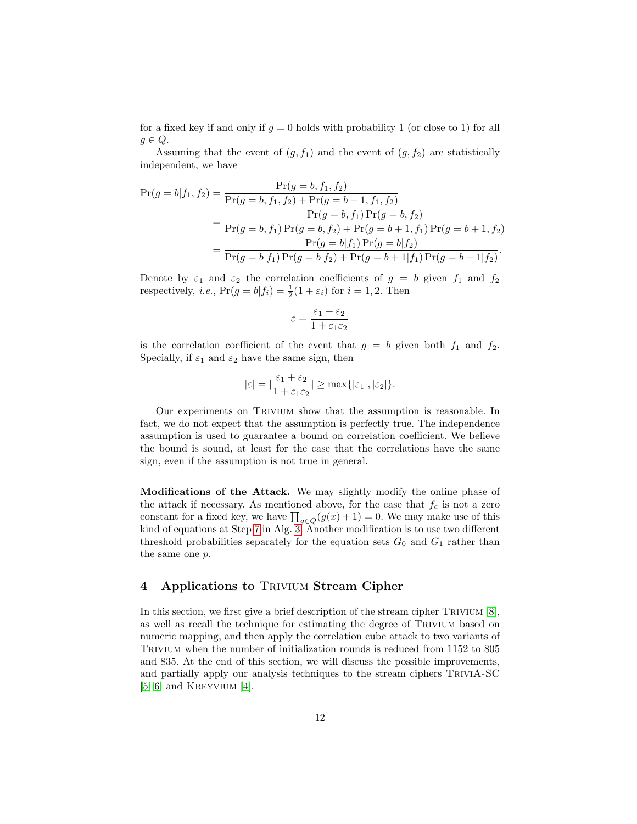for a fixed key if and only if  $g = 0$  holds with probability 1 (or close to 1) for all  $g \in Q$ .

Assuming that the event of  $(g, f_1)$  and the event of  $(g, f_2)$  are statistically independent, we have

$$
\Pr(g = b | f_1, f_2) = \frac{\Pr(g = b, f_1, f_2)}{\Pr(g = b, f_1, f_2) + \Pr(g = b + 1, f_1, f_2)} \\
= \frac{\Pr(g = b, f_1) \Pr(g = b, f_2)}{\Pr(g = b, f_1) \Pr(g = b, f_2) + \Pr(g = b + 1, f_1) \Pr(g = b + 1, f_2)} \\
= \frac{\Pr(g = b | f_1) \Pr(g = b | f_2)}{\Pr(g = b | f_1) \Pr(g = b | f_2) + \Pr(g = b + 1 | f_1) \Pr(g = b + 1 | f_2)}.
$$

Denote by  $\varepsilon_1$  and  $\varepsilon_2$  the correlation coefficients of  $g = b$  given  $f_1$  and  $f_2$ respectively, *i.e.*,  $Pr(g = b | f_i) = \frac{1}{2}(1 + \varepsilon_i)$  for  $i = 1, 2$ . Then

$$
\varepsilon=\frac{\varepsilon_1+\varepsilon_2}{1+\varepsilon_1\varepsilon_2}
$$

is the correlation coefficient of the event that  $g = b$  given both  $f_1$  and  $f_2$ . Specially, if  $\varepsilon_1$  and  $\varepsilon_2$  have the same sign, then

$$
|\varepsilon| = |\frac{\varepsilon_1 + \varepsilon_2}{1 + \varepsilon_1 \varepsilon_2}| \ge \max\{|\varepsilon_1|, |\varepsilon_2|\}.
$$

Our experiments on Trivium show that the assumption is reasonable. In fact, we do not expect that the assumption is perfectly true. The independence assumption is used to guarantee a bound on correlation coefficient. We believe the bound is sound, at least for the case that the correlations have the same sign, even if the assumption is not true in general.

Modifications of the Attack. We may slightly modify the online phase of the attack if necessary. As mentioned above, for the case that  $f_c$  is not a zero constant for a fixed key, we have  $\prod_{g \in Q}(g(x) + 1) = 0$ . We may make use of this kind of equations at Step [7](#page-10-1) in Alg. [3.](#page-10-0) Another modification is to use two different threshold probabilities separately for the equation sets  $G_0$  and  $G_1$  rather than the same one p.

## <span id="page-11-0"></span>4 Applications to Trivium Stream Cipher

In this section, we first give a brief description of the stream cipher TRIVIUM [\[8\]](#page-29-2), as well as recall the technique for estimating the degree of Trivium based on numeric mapping, and then apply the correlation cube attack to two variants of TRIVIUM when the number of initialization rounds is reduced from 1152 to 805 and 835. At the end of this section, we will discuss the possible improvements, and partially apply our analysis techniques to the stream ciphers TriviA-SC [\[5,](#page-29-7) [6\]](#page-29-8) and KREYVIUM [\[4\]](#page-29-9).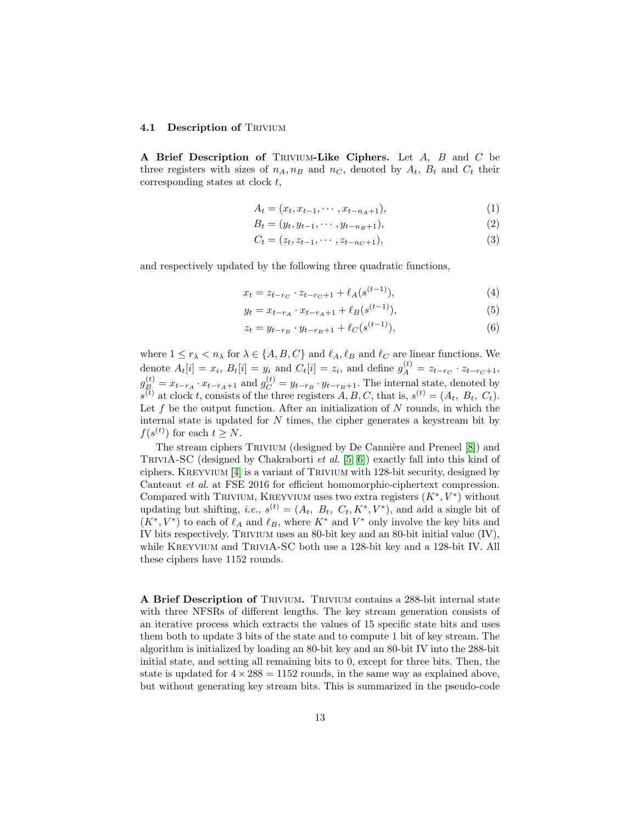#### 4.1 Description of TRIVIUM

A Brief Description of Trivium-Like Ciphers. Let A, B and C be three registers with sizes of  $n_A$ ,  $n_B$  and  $n_C$ , denoted by  $A_t$ ,  $B_t$  and  $C_t$  their corresponding states at clock  $t$ ,

$$
A_t = (x_t, x_{t-1}, \cdots, x_{t-n_A+1}),
$$
\n(1)

$$
B_t = (y_t, y_{t-1}, \cdots, y_{t-n_B+1}),
$$
\n(2)

$$
C_t = (z_t, z_{t-1}, \cdots, z_{t-nC+1}),
$$
\n(3)

and respectively updated by the following three quadratic functions,

$$
x_t = z_{t-r_C} \cdot z_{t-r_C+1} + \ell_A(s^{(t-1)}), \tag{4}
$$

$$
y_t = x_{t-r_A} \cdot x_{t-r_A+1} + \ell_B(s^{(t-1)}), \tag{5}
$$

$$
z_t = y_{t-r_B} \cdot y_{t-r_B+1} + \ell_C(s^{(t-1)}), \tag{6}
$$

where  $1 \leq r_{\lambda} < n_{\lambda}$  for  $\lambda \in \{A, B, C\}$  and  $\ell_A, \ell_B$  and  $\ell_C$  are linear functions. We denote  $A_t[i] = x_i$ ,  $B_t[i] = y_i$  and  $C_t[i] = z_i$ , and define  $g_A^{(t)} = z_{t-rC} \cdot z_{t-rC+1}$ ,  $g_{B_s}^{(t)} = x_{t-r_A} \cdot x_{t-r_A+1}$  and  $g_{C}^{(t)} = y_{t-r_B} \cdot y_{t-r_B+1}$ . The internal state, denoted by  $s^{(t)}$  at clock t, consists of the three registers  $A, B, C$ , that is,  $s^{(t)} = (A_t, B_t, C_t)$ . Let  $f$  be the output function. After an initialization of  $N$  rounds, in which the internal state is updated for  $N$  times, the cipher generates a keystream bit by  $f(s^{(t)})$  for each  $t \geq N$ .

The stream ciphers TRIVIUM (designed by De Cannière and Preneel [\[8\]](#page-29-2)) and TriviA-SC (designed by Chakraborti et al. [\[5,](#page-29-7) [6\]](#page-29-8)) exactly fall into this kind of ciphers. Kreyvium [\[4\]](#page-29-9) is a variant of Trivium with 128-bit security, designed by Canteaut et al. at FSE 2016 for efficient homomorphic-ciphertext compression. Compared with TRIVIUM, KREYVIUM uses two extra registers  $(K^*, V^*)$  without updating but shifting, *i.e.*,  $s^{(t)} = (A_t, B_t, C_t, K^*, V^*)$ , and add a single bit of  $(K^*, V^*)$  to each of  $\ell_A$  and  $\ell_B$ , where  $K^*$  and  $V^*$  only involve the key bits and IV bits respectively. Trivium uses an 80-bit key and an 80-bit initial value (IV), while Kreyvium and TriviA-SC both use a 128-bit key and a 128-bit IV. All these ciphers have 1152 rounds.

A Brief Description of Trivium. Trivium contains a 288-bit internal state with three NFSRs of different lengths. The key stream generation consists of an iterative process which extracts the values of 15 specific state bits and uses them both to update 3 bits of the state and to compute 1 bit of key stream. The algorithm is initialized by loading an 80-bit key and an 80-bit IV into the 288-bit initial state, and setting all remaining bits to 0, except for three bits. Then, the state is updated for  $4 \times 288 = 1152$  rounds, in the same way as explained above, but without generating key stream bits. This is summarized in the pseudo-code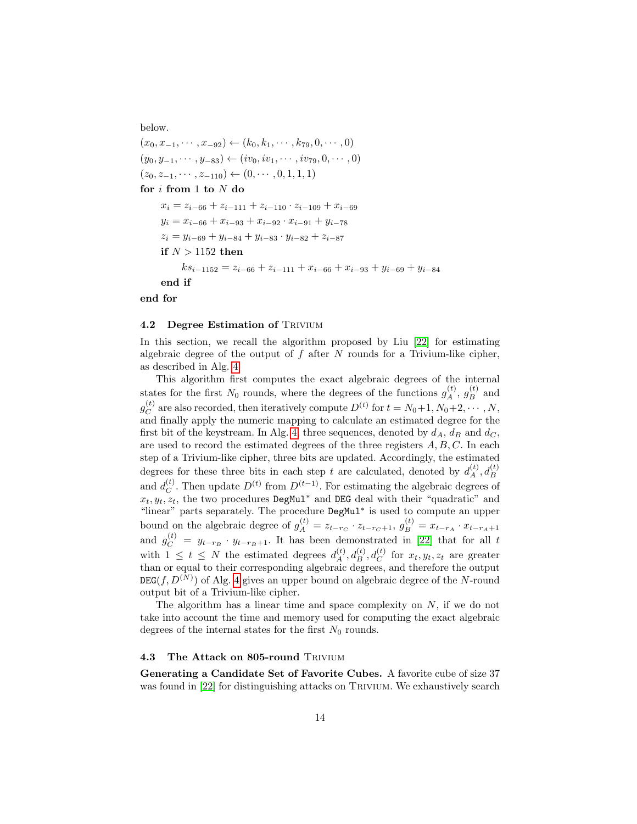below.

 $(x_0, x_{-1}, \cdots, x_{-92}) \leftarrow (k_0, k_1, \cdots, k_{79}, 0, \cdots, 0)$  $(y_0, y_{-1}, \dots, y_{-83}) \leftarrow (iv_0, iv_1, \dots, iv_{79}, 0, \dots, 0)$  $(z_0, z_{-1}, \cdots, z_{-110}) \leftarrow (0, \cdots, 0, 1, 1, 1)$ for  $i$  from 1 to  $N$  do  $x_i = z_{i-66} + z_{i-111} + z_{i-110} \cdot z_{i-109} + x_{i-69}$  $y_i = x_{i-66} + x_{i-93} + x_{i-92} \cdot x_{i-91} + y_{i-78}$  $z_i = y_{i-69} + y_{i-84} + y_{i-83} \cdot y_{i-82} + z_{i-87}$ if  $N > 1152$  then  $ks_{i-1152} = z_{i-66} + z_{i-111} + x_{i-66} + x_{i-93} + y_{i-69} + y_{i-84}$ end if end for

#### 4.2 Degree Estimation of TRIVIUM

In this section, we recall the algorithm proposed by Liu [\[22\]](#page-31-8) for estimating algebraic degree of the output of  $f$  after  $N$  rounds for a Trivium-like cipher, as described in Alg. [4.](#page-14-0)

This algorithm first computes the exact algebraic degrees of the internal states for the first  $N_0$  rounds, where the degrees of the functions  $g_A^{(t)}$ ,  $g_B^{(t)}$  and  $g_C^{(t)}$  $C^{(t)}$  are also recorded, then iteratively compute  $D^{(t)}$  for  $t = N_0+1, N_0+2, \cdots, N$ , and finally apply the numeric mapping to calculate an estimated degree for the first bit of the keystream. In Alg. [4,](#page-14-0) three sequences, denoted by  $d_A$ ,  $d_B$  and  $d_C$ , are used to record the estimated degrees of the three registers  $A, B, C$ . In each step of a Trivium-like cipher, three bits are updated. Accordingly, the estimated degrees for these three bits in each step t are calculated, denoted by  $d_A^{(t)}, d_B^{(t)}$ and  $d_C^{(t)}$  $C^{(t)}$ . Then update  $D^{(t)}$  from  $D^{(t-1)}$ . For estimating the algebraic degrees of  $x_t, y_t, z_t$ , the two procedures DegMul<sup>\*</sup> and DEG deal with their "quadratic" and "linear" parts separately. The procedure DegMul<sup>∗</sup> is used to compute an upper bound on the algebraic degree of  $g_A^{(t)} = z_{t-r_C} \cdot z_{t-r_C+1}, g_B^{(t)} = x_{t-r_A} \cdot x_{t-r_A+1}$ and  $g_C^{(t)} = y_{t-r_B} \cdot y_{t-r_B+1}$ . It has been demonstrated in [\[22\]](#page-31-8) that for all t with  $1 \leq t \leq N$  the estimated degrees  $d_A^{(t)}, d_B^{(t)}, d_C^{(t)}$  for  $x_t, y_t, z_t$  are greater than or equal to their corresponding algebraic degrees, and therefore the output DEG(f,  $D^{(N)}$ ) of Alg. [4](#page-14-0) gives an upper bound on algebraic degree of the N-round output bit of a Trivium-like cipher.

The algorithm has a linear time and space complexity on  $N$ , if we do not take into account the time and memory used for computing the exact algebraic degrees of the internal states for the first  $N_0$  rounds.

#### <span id="page-13-0"></span>4.3 The Attack on 805-round TRIVIUM

Generating a Candidate Set of Favorite Cubes. A favorite cube of size 37 was found in [\[22\]](#page-31-8) for distinguishing attacks on TRIVIUM. We exhaustively search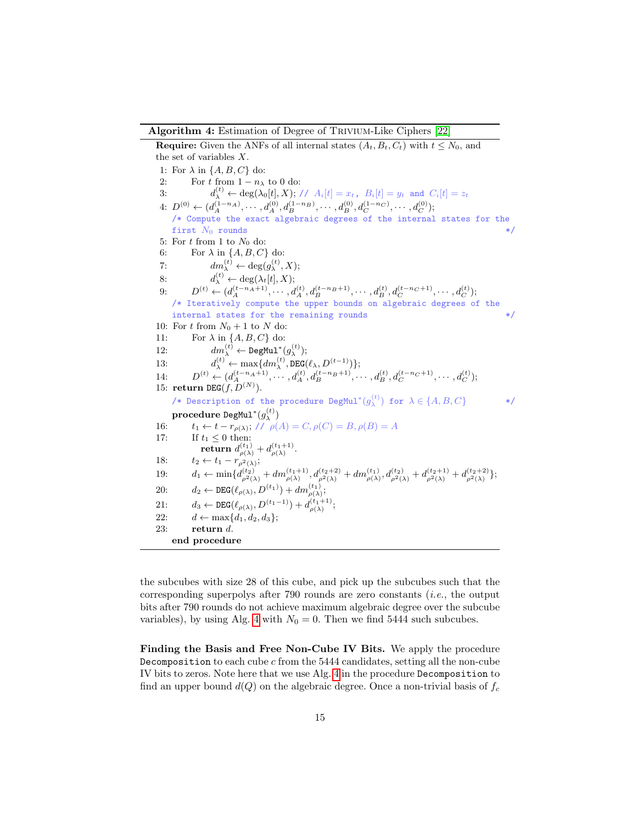#### Algorithm 4: Estimation of Degree of Trivium-Like Ciphers [\[22\]](#page-31-8)

<span id="page-14-0"></span>**Require:** Given the ANFs of all internal states  $(A_t, B_t, C_t)$  with  $t \leq N_0$ , and the set of variables X. 1: For  $\lambda$  in  $\{A, B, C\}$  do: 2: For t from  $1 - n_{\lambda}$  to 0 do: 3:  $d_{\lambda}^{(t)} \leftarrow \deg(\lambda_0[t], X); \text{ // } A_i[t] = x_t, \ B_i[t] = y_t \text{ and } C_i[t] = z_t$ 4:  $D^{(0)} \leftarrow (d_A^{(1-n_A)}, \cdots, d_A^{(0)}, d_B^{(1-n_B)}, \cdots, d_B^{(0)}, d_C^{(1-n_C)}, \cdots, d_C^{(0)});$ /\* Compute the exact algebraic degrees of the internal states for the first  $N_0$  rounds 5: For  $t$  from 1 to  $N_0$  do: 6: For  $\lambda$  in  $\{A, B, C\}$  do: 7:  $dm_{\lambda}^{(t)} \leftarrow \deg(g_{\lambda}^{(t)}, X);$ 8:  $d_{\lambda}^{(t)} \leftarrow \deg(\lambda_t[t], X);$ 9:  $D^{(t)} \leftarrow (d_A^{(t-n_A+1)}, \cdots, d_A^{(t)}, d_B^{(t-n_B+1)}, \cdots, d_B^{(t)}, d_C^{(t-n_C+1)}, \cdots, d_C^{(t)});$ /\* Iteratively compute the upper bounds on algebraic degrees of the internal states for the remaining rounds 10: For t from  $N_0 + 1$  to N do: 11: For  $\lambda$  in  $\{A, B, C\}$  do: 12:  $dm_{\lambda}^{(t)} \leftarrow \texttt{DegMul}^*(g_{\lambda}^{(t)});$ 13:  $d_{\lambda}^{(t)} \leftarrow \max\{dm_{\lambda}^{(t)}, \text{DEG}(\ell_{\lambda}, D^{(t-1)})\};$ 14:  $(a) \leftarrow (d_A^{(t-n_A+1)}, \cdots, d_A^{(t)}, d_B^{(t-n_B+1)}, \cdots, d_B^{(t)}, d_C^{(t-n_C+1)}, \cdots, d_C^{(t)});$ 15: return DEG $(f, D^{(N)})$ . /\* Description of the procedure DegMul\* $(g_\lambda^{(t)})$  for  $\lambda \in \{A,B,C\}$  \*/  $\bf{procedure}\ \tt{DegMul}^*(g^{(t)}_\lambda)$ 16:  $t_1 \leftarrow t - r_{\rho(\lambda)}$ ; //  $\rho(A) = C$ ,  $\rho(C) = B$ ,  $\rho(B) = A$ 17: If  $t_1 \leq 0$  then:  $\textbf{return}~ d^{(t_1)}_{\rho(\lambda)}+d^{(t_1+1)}_{\rho(\lambda)}.$ 18:  $t_2 \leftarrow t_1 - r_{\rho^2(\lambda)}$ ; 19:  $d_1 \leftarrow \min\{d_{\rho^2(\lambda)}^{(t_2)} + dm_{\rho(\lambda)}^{(t_1+1)}, d_{\rho^2(\lambda)}^{(t_2+2)} + dm_{\rho(\lambda)}^{(t_1)}, d_{\rho^2(\lambda)}^{(t_2)} + d_{\rho^2(\lambda)}^{(t_2+1)} + d_{\rho^2(\lambda)}^{(t_2+2)}\};$ 20:  $d_2 \leftarrow \texttt{DEC}(\ell_{\rho(\lambda)}, D^{(t_1)}) + dm_{\rho(\lambda)}^{(t_1)};$ 21:  $d_3 \leftarrow \text{DEG}(\ell_{\rho(\lambda)}, D^{(t_1-1)}) + d_{\rho(\lambda)}^{(t_1+1)};$ 22:  $d \leftarrow \max\{d_1, d_2, d_3\};$ 23: return  $d$ . end procedure

the subcubes with size 28 of this cube, and pick up the subcubes such that the corresponding superpolys after 790 rounds are zero constants (*i.e.*, the output bits after 790 rounds do not achieve maximum algebraic degree over the subcube variables), by using Alg. [4](#page-14-0) with  $N_0 = 0$ . Then we find 5444 such subcubes.

Finding the Basis and Free Non-Cube IV Bits. We apply the procedure Decomposition to each cube  $c$  from the 5444 candidates, setting all the non-cube IV bits to zeros. Note here that we use Alg. [4](#page-14-0) in the procedure Decomposition to find an upper bound  $d(Q)$  on the algebraic degree. Once a non-trivial basis of  $f_c$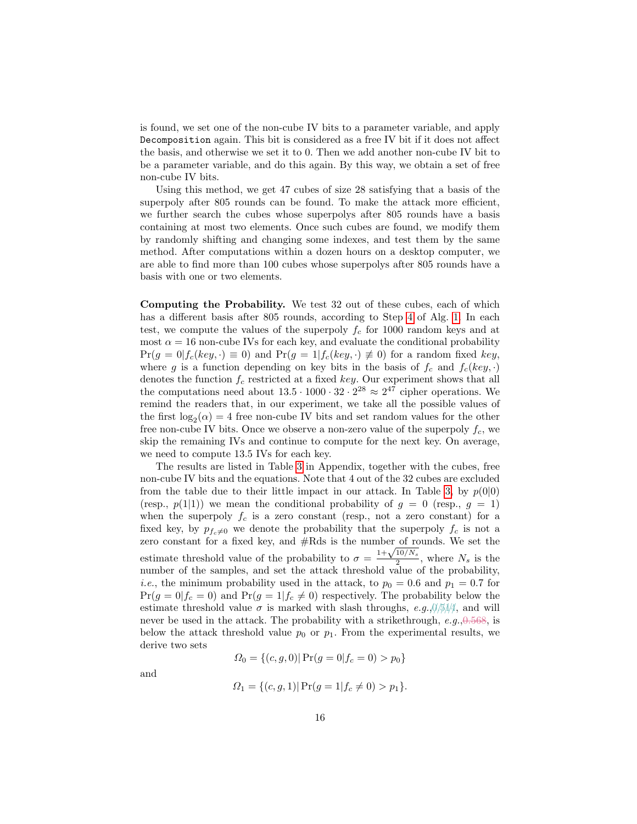is found, we set one of the non-cube IV bits to a parameter variable, and apply Decomposition again. This bit is considered as a free IV bit if it does not affect the basis, and otherwise we set it to 0. Then we add another non-cube IV bit to be a parameter variable, and do this again. By this way, we obtain a set of free non-cube IV bits.

Using this method, we get 47 cubes of size 28 satisfying that a basis of the superpoly after 805 rounds can be found. To make the attack more efficient, we further search the cubes whose superpolys after 805 rounds have a basis containing at most two elements. Once such cubes are found, we modify them by randomly shifting and changing some indexes, and test them by the same method. After computations within a dozen hours on a desktop computer, we are able to find more than 100 cubes whose superpolys after 805 rounds have a basis with one or two elements.

Computing the Probability. We test 32 out of these cubes, each of which has a different basis after 805 rounds, according to Step [4](#page-7-1) of Alg. [1.](#page-7-0) In each test, we compute the values of the superpoly  $f_c$  for 1000 random keys and at most  $\alpha = 16$  non-cube IVs for each key, and evaluate the conditional probability  $Pr(g = 0|f_c(key, \cdot) \equiv 0)$  and  $Pr(g = 1|f_c(key, \cdot) \not\equiv 0)$  for a random fixed key, where g is a function depending on key bits in the basis of  $f_c$  and  $f_c(key, \cdot)$ denotes the function  $f_c$  restricted at a fixed key. Our experiment shows that all the computations need about  $13.5 \cdot 1000 \cdot 32 \cdot 2^{28} \approx 2^{47}$  cipher operations. We remind the readers that, in our experiment, we take all the possible values of the first  $log_2(\alpha) = 4$  free non-cube IV bits and set random values for the other free non-cube IV bits. Once we observe a non-zero value of the superpoly  $f_c$ , we skip the remaining IVs and continue to compute for the next key. On average, we need to compute 13.5 IVs for each key.

The results are listed in Table [3](#page-22-0) in Appendix, together with the cubes, free non-cube IV bits and the equations. Note that 4 out of the 32 cubes are excluded from the table due to their little impact in our attack. In Table [3,](#page-22-0) by  $p(0|0)$ (resp.,  $p(1|1)$ ) we mean the conditional probability of  $g = 0$  (resp.,  $g = 1$ ) when the superpoly  $f_c$  is a zero constant (resp., not a zero constant) for a fixed key, by  $p_{f_c\neq0}$  we denote the probability that the superpoly  $f_c$  is not a zero constant for a fixed key, and #Rds is the number of rounds. We set the estimate threshold value of the probability to  $\sigma = \frac{1 + \sqrt{10/N_s}}{2}$  $\frac{10/N_s}{2}$ , where  $N_s$  is the number of the samples, and set the attack threshold value of the probability, *i.e.*, the minimum probability used in the attack, to  $p_0 = 0.6$  and  $p_1 = 0.7$  for  $Pr(g = 0|f_c = 0)$  and  $Pr(g = 1|f_c \neq 0)$  respectively. The probability below the estimate threshold value  $\sigma$  is marked with slash throughs, e.g., $\sqrt{\frac{51}{4}}$ , and will never be used in the attack. The probability with a strikethrough,  $e.g.,\theta.\overline{568}$ , is below the attack threshold value  $p_0$  or  $p_1$ . From the experimental results, we derive two sets

$$
\Omega_0 = \{(c, g, 0) | \Pr(g = 0 | f_c = 0) > p_0 \}
$$

and

$$
\Omega_1 = \{ (c, g, 1) | \Pr(g = 1 | f_c \neq 0) > p_1 \}.
$$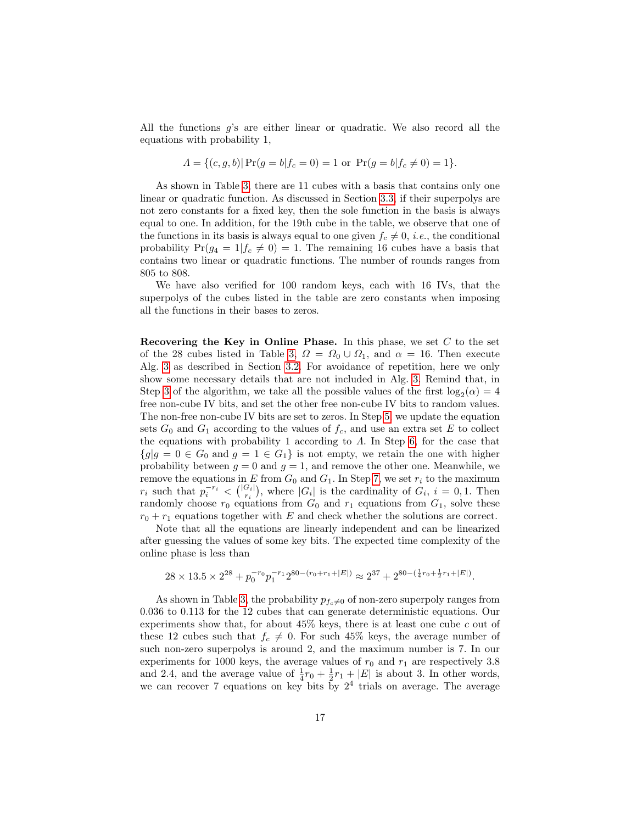All the functions g's are either linear or quadratic. We also record all the equations with probability 1,

$$
\Lambda = \{(c, g, b) | \Pr(g = b | f_c = 0) = 1 \text{ or } \Pr(g = b | f_c \neq 0) = 1 \}.
$$

As shown in Table [3,](#page-22-0) there are 11 cubes with a basis that contains only one linear or quadratic function. As discussed in Section [3.3,](#page-10-2) if their superpolys are not zero constants for a fixed key, then the sole function in the basis is always equal to one. In addition, for the 19th cube in the table, we observe that one of the functions in its basis is always equal to one given  $f_c \neq 0$ , *i.e.*, the conditional probability  $Pr(g_4 = 1|f_c \neq 0) = 1$ . The remaining 16 cubes have a basis that contains two linear or quadratic functions. The number of rounds ranges from 805 to 808.

We have also verified for 100 random keys, each with 16 IVs, that the superpolys of the cubes listed in the table are zero constants when imposing all the functions in their bases to zeros.

Recovering the Key in Online Phase. In this phase, we set  $C$  to the set of the 28 cubes listed in Table [3,](#page-22-0)  $\Omega = \Omega_0 \cup \Omega_1$ , and  $\alpha = 16$ . Then execute Alg. [3](#page-10-0) as described in Section [3.2.](#page-9-0) For avoidance of repetition, here we only show some necessary details that are not included in Alg. [3.](#page-10-0) Remind that, in Step [3](#page-10-3) of the algorithm, we take all the possible values of the first  $\log_2(\alpha) = 4$ free non-cube IV bits, and set the other free non-cube IV bits to random values. The non-free non-cube IV bits are set to zeros. In Step [5,](#page-10-4) we update the equation sets  $G_0$  and  $G_1$  according to the values of  $f_c$ , and use an extra set E to collect the equations with probability 1 according to  $\Lambda$ . In Step [6,](#page-10-5) for the case that  ${g|g = 0 \in G_0 \text{ and } g = 1 \in G_1}$  is not empty, we retain the one with higher probability between  $g = 0$  and  $g = 1$ , and remove the other one. Meanwhile, we remove the equations in E from  $G_0$  and  $G_1$ . In Step [7,](#page-10-1) we set  $r_i$  to the maximum  $r_i$  such that  $p_i^{-r_i} < {\binom{|G_i|}{r_i}}$ , where  $|G_i|$  is the cardinality of  $G_i$ ,  $i = 0, 1$ . Then randomly choose  $r_0$  equations from  $G_0$  and  $r_1$  equations from  $G_1$ , solve these  $r_0 + r_1$  equations together with E and check whether the solutions are correct.

Note that all the equations are linearly independent and can be linearized after guessing the values of some key bits. The expected time complexity of the online phase is less than

$$
28 \times 13.5 \times 2^{28} + p_0^{-r_0} p_1^{-r_1} 2^{80 - (r_0 + r_1 + |E|)} \approx 2^{37} + 2^{80 - (\frac{1}{4}r_0 + \frac{1}{2}r_1 + |E|)}.
$$

As shown in Table [3,](#page-22-0) the probability  $p_{f_c\neq0}$  of non-zero superpoly ranges from 0.036 to 0.113 for the 12 cubes that can generate deterministic equations. Our experiments show that, for about  $45\%$  keys, there is at least one cube c out of these 12 cubes such that  $f_c \neq 0$ . For such 45% keys, the average number of such non-zero superpolys is around 2, and the maximum number is 7. In our experiments for 1000 keys, the average values of  $r_0$  and  $r_1$  are respectively 3.8 and 2.4, and the average value of  $\frac{1}{4}r_0 + \frac{1}{2}r_1 + |E|$  is about 3. In other words, we can recover 7 equations on key bits by  $2^4$  trials on average. The average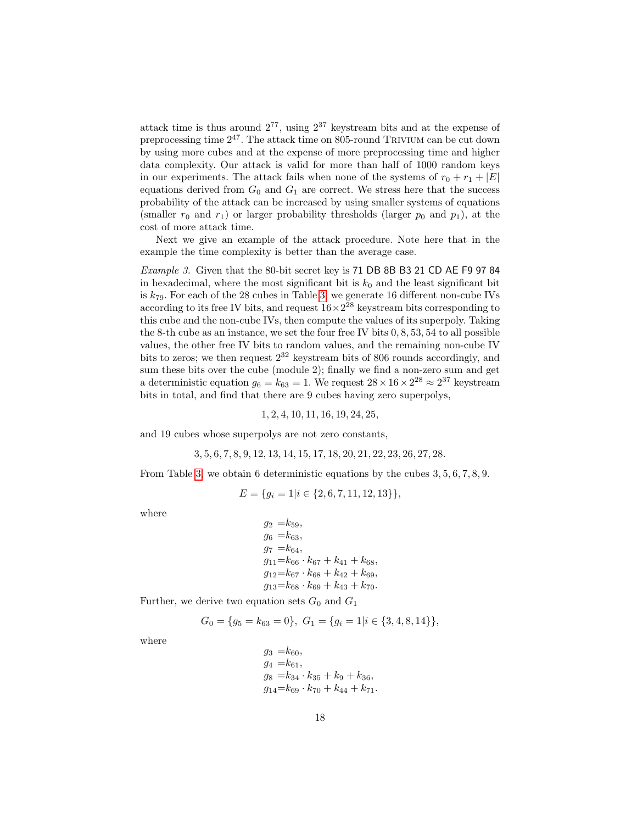attack time is thus around  $2^{77}$ , using  $2^{37}$  keystream bits and at the expense of preprocessing time  $2^{47}$ . The attack time on 805-round TRIVIUM can be cut down by using more cubes and at the expense of more preprocessing time and higher data complexity. Our attack is valid for more than half of 1000 random keys in our experiments. The attack fails when none of the systems of  $r_0 + r_1 + |E|$ equations derived from  $G_0$  and  $G_1$  are correct. We stress here that the success probability of the attack can be increased by using smaller systems of equations (smaller  $r_0$  and  $r_1$ ) or larger probability thresholds (larger  $p_0$  and  $p_1$ ), at the cost of more attack time.

Next we give an example of the attack procedure. Note here that in the example the time complexity is better than the average case.

Example 3. Given that the 80-bit secret key is 71 DB 8B B3 21 CD AE F9 97 84 in hexadecimal, where the most significant bit is  $k_0$  and the least significant bit is  $k_{79}$ . For each of the 28 cubes in Table [3,](#page-22-0) we generate 16 different non-cube IVs according to its free IV bits, and request  $16 \times 2^{28}$  keystream bits corresponding to this cube and the non-cube IVs, then compute the values of its superpoly. Taking the 8-th cube as an instance, we set the four free IV bits 0, 8, 53, 54 to all possible values, the other free IV bits to random values, and the remaining non-cube IV bits to zeros; we then request  $2^{32}$  keystream bits of 806 rounds accordingly, and sum these bits over the cube (module 2); finally we find a non-zero sum and get a deterministic equation  $g_6 = k_{63} = 1$ . We request  $28 \times 16 \times 2^{28} \approx 2^{37}$  keystream bits in total, and find that there are 9 cubes having zero superpolys,

1, 2, 4, 10, 11, 16, 19, 24, 25,

and 19 cubes whose superpolys are not zero constants,

$$
3, 5, 6, 7, 8, 9, 12, 13, 14, 15, 17, 18, 20, 21, 22, 23, 26, 27, 28.
$$

From Table [3,](#page-22-0) we obtain 6 deterministic equations by the cubes 3, 5, 6, 7, 8, 9.

$$
E = \{g_i = 1 | i \in \{2, 6, 7, 11, 12, 13\}\},\
$$

where

$$
g_2 = k_{59},
$$
  
\n
$$
g_6 = k_{63},
$$
  
\n
$$
g_7 = k_{64},
$$
  
\n
$$
g_{11} = k_{66} \cdot k_{67} + k_{41} + k_{68},
$$
  
\n
$$
g_{12} = k_{67} \cdot k_{68} + k_{42} + k_{69},
$$
  
\n
$$
g_{13} = k_{68} \cdot k_{69} + k_{43} + k_{70}.
$$

Further, we derive two equation sets  $G_0$  and  $G_1$ 

$$
G_0 = \{g_5 = k_{63} = 0\}, G_1 = \{g_i = 1 | i \in \{3, 4, 8, 14\}\},
$$

where

$$
g_3 = k_{60},
$$
  
\n
$$
g_4 = k_{61},
$$
  
\n
$$
g_8 = k_{34} \cdot k_{35} + k_9 + k_{36},
$$
  
\n
$$
g_{14} = k_{69} \cdot k_{70} + k_{44} + k_{71}.
$$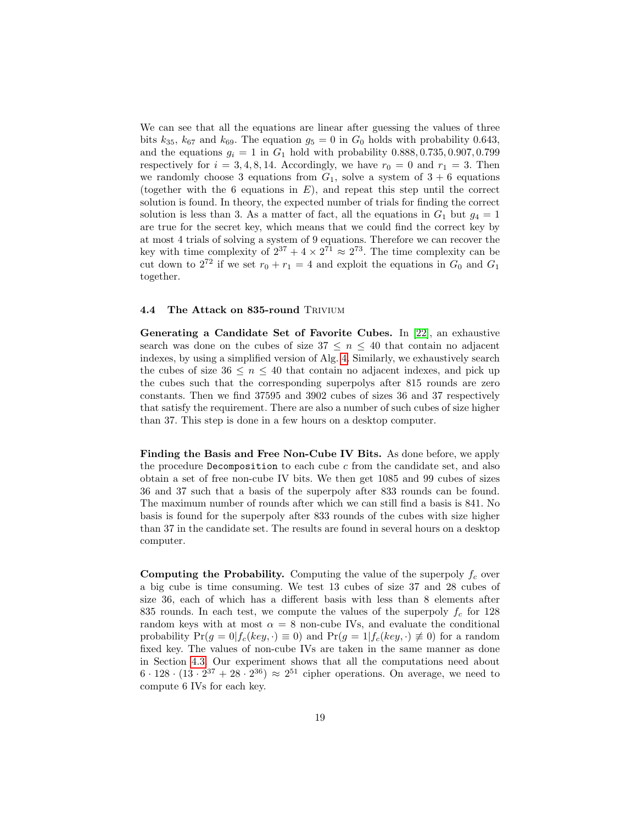We can see that all the equations are linear after guessing the values of three bits  $k_{35}$ ,  $k_{67}$  and  $k_{69}$ . The equation  $g_5 = 0$  in  $G_0$  holds with probability 0.643, and the equations  $g_i = 1$  in  $G_1$  hold with probability 0.888, 0.735, 0.907, 0.799 respectively for  $i = 3, 4, 8, 14$ . Accordingly, we have  $r_0 = 0$  and  $r_1 = 3$ . Then we randomly choose 3 equations from  $G_1$ , solve a system of  $3 + 6$  equations (together with the 6 equations in  $E$ ), and repeat this step until the correct solution is found. In theory, the expected number of trials for finding the correct solution is less than 3. As a matter of fact, all the equations in  $G_1$  but  $g_4 = 1$ are true for the secret key, which means that we could find the correct key by at most 4 trials of solving a system of 9 equations. Therefore we can recover the key with time complexity of  $2^{37} + 4 \times 2^{71} \approx 2^{73}$ . The time complexity can be cut down to  $2^{72}$  if we set  $r_0 + r_1 = 4$  and exploit the equations in  $G_0$  and  $G_1$ together.

#### <span id="page-18-0"></span>4.4 The Attack on 835-round TRIVIUM

Generating a Candidate Set of Favorite Cubes. In [\[22\]](#page-31-8), an exhaustive search was done on the cubes of size  $37 \leq n \leq 40$  that contain no adjacent indexes, by using a simplified version of Alg. [4.](#page-14-0) Similarly, we exhaustively search the cubes of size  $36 \leq n \leq 40$  that contain no adjacent indexes, and pick up the cubes such that the corresponding superpolys after 815 rounds are zero constants. Then we find 37595 and 3902 cubes of sizes 36 and 37 respectively that satisfy the requirement. There are also a number of such cubes of size higher than 37. This step is done in a few hours on a desktop computer.

Finding the Basis and Free Non-Cube IV Bits. As done before, we apply the procedure Decomposition to each cube  $c$  from the candidate set, and also obtain a set of free non-cube IV bits. We then get 1085 and 99 cubes of sizes 36 and 37 such that a basis of the superpoly after 833 rounds can be found. The maximum number of rounds after which we can still find a basis is 841. No basis is found for the superpoly after 833 rounds of the cubes with size higher than 37 in the candidate set. The results are found in several hours on a desktop computer.

**Computing the Probability.** Computing the value of the superpoly  $f_c$  over a big cube is time consuming. We test 13 cubes of size 37 and 28 cubes of size 36, each of which has a different basis with less than 8 elements after 835 rounds. In each test, we compute the values of the superpoly  $f_c$  for 128 random keys with at most  $\alpha = 8$  non-cube IVs, and evaluate the conditional probability  $Pr(g = 0|f_c(key, \cdot) \equiv 0)$  and  $Pr(g = 1|f_c(key, \cdot) \not\equiv 0)$  for a random fixed key. The values of non-cube IVs are taken in the same manner as done in Section [4.3.](#page-13-0) Our experiment shows that all the computations need about  $6 \cdot 128 \cdot (13 \cdot 2^{37} + 28 \cdot 2^{36}) \approx 2^{51}$  cipher operations. On average, we need to compute 6 IVs for each key.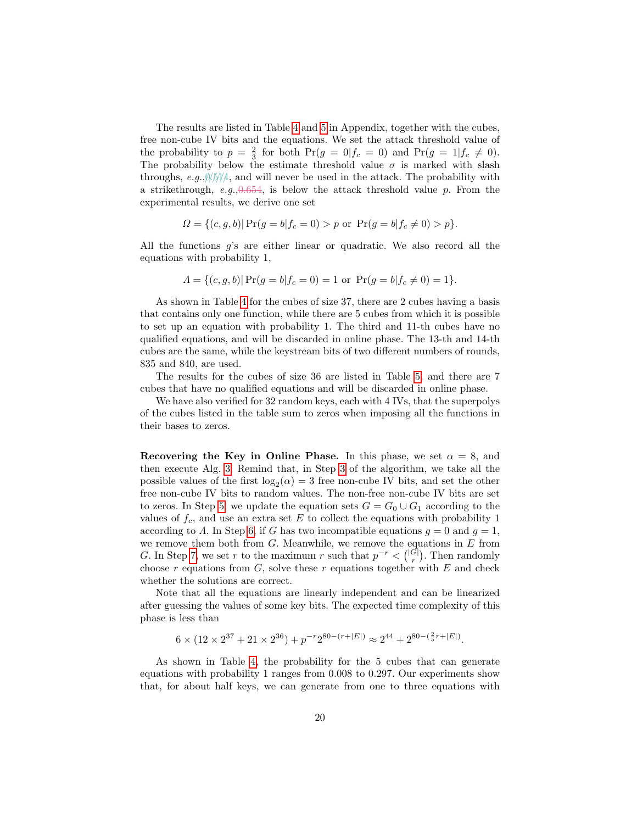The results are listed in Table [4](#page-24-0) and [5](#page-25-0) in Appendix, together with the cubes, free non-cube IV bits and the equations. We set the attack threshold value of the probability to  $p = \frac{2}{3}$  for both  $Pr(g = 0|f_c = 0)$  and  $Pr(g = 1|f_c \neq 0)$ . The probability below the estimate threshold value  $\sigma$  is marked with slash throughs, e.g.,  $\frac{\partial}{\partial y}$ , and will never be used in the attack. The probability with a strikethrough, e.g., $0.654$ , is below the attack threshold value p. From the experimental results, we derive one set

$$
\Omega = \{(c, g, b) | \Pr(g = b | f_c = 0) > p \text{ or } \Pr(g = b | f_c \neq 0) > p \}.
$$

All the functions g's are either linear or quadratic. We also record all the equations with probability 1,

$$
\Lambda = \{(c, g, b) | \Pr(g = b | f_c = 0) = 1 \text{ or } \Pr(g = b | f_c \neq 0) = 1 \}.
$$

As shown in Table [4](#page-24-0) for the cubes of size 37, there are 2 cubes having a basis that contains only one function, while there are 5 cubes from which it is possible to set up an equation with probability 1. The third and 11-th cubes have no qualified equations, and will be discarded in online phase. The 13-th and 14-th cubes are the same, while the keystream bits of two different numbers of rounds, 835 and 840, are used.

The results for the cubes of size 36 are listed in Table [5,](#page-25-0) and there are 7 cubes that have no qualified equations and will be discarded in online phase.

We have also verified for 32 random keys, each with 4 IVs, that the superpolys of the cubes listed in the table sum to zeros when imposing all the functions in their bases to zeros.

Recovering the Key in Online Phase. In this phase, we set  $\alpha = 8$ , and then execute Alg. [3.](#page-10-0) Remind that, in Step [3](#page-10-3) of the algorithm, we take all the possible values of the first  $log_2(\alpha) = 3$  free non-cube IV bits, and set the other free non-cube IV bits to random values. The non-free non-cube IV bits are set to zeros. In Step [5,](#page-10-4) we update the equation sets  $G = G_0 \cup G_1$  according to the values of  $f_c$ , and use an extra set E to collect the equations with probability 1 according to A. In Step [6,](#page-10-5) if G has two incompatible equations  $g = 0$  and  $g = 1$ , we remove them both from  $G$ . Meanwhile, we remove the equations in  $E$  from G. In Step [7,](#page-10-1) we set r to the maximum r such that  $p^{-r} < \binom{|G|}{r}$ . Then randomly choose r equations from  $G$ , solve these r equations together with  $E$  and check whether the solutions are correct.

Note that all the equations are linearly independent and can be linearized after guessing the values of some key bits. The expected time complexity of this phase is less than

$$
6 \times (12 \times 2^{37} + 21 \times 2^{36}) + p^{-r} 2^{80 - (r + |E|)} \approx 2^{44} + 2^{80 - (\frac{2}{5}r + |E|)}.
$$

As shown in Table [4,](#page-24-0) the probability for the 5 cubes that can generate equations with probability 1 ranges from 0.008 to 0.297. Our experiments show that, for about half keys, we can generate from one to three equations with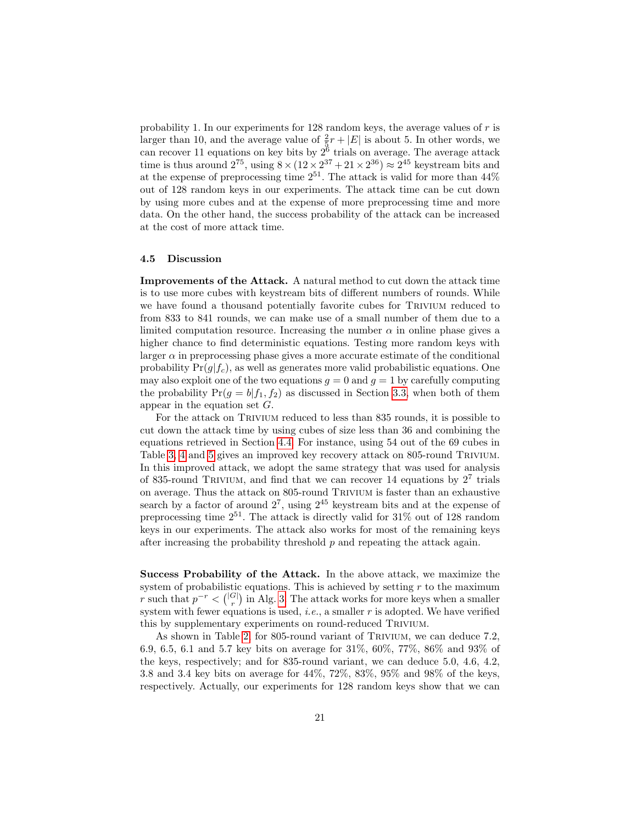probability 1. In our experiments for 128 random keys, the average values of r is larger than 10, and the average value of  $\frac{2}{5}r + |E|$  is about 5. In other words, we can recover 11 equations on key bits by  $2^6$  trials on average. The average attack time is thus around  $2^{75}$ , using  $8 \times (12 \times 2^{37} + 21 \times 2^{36}) \approx 2^{45}$  keystream bits and at the expense of preprocessing time  $2^{51}$ . The attack is valid for more than  $44\%$ out of 128 random keys in our experiments. The attack time can be cut down by using more cubes and at the expense of more preprocessing time and more data. On the other hand, the success probability of the attack can be increased at the cost of more attack time.

#### <span id="page-20-0"></span>4.5 Discussion

Improvements of the Attack. A natural method to cut down the attack time is to use more cubes with keystream bits of different numbers of rounds. While we have found a thousand potentially favorite cubes for Trivium reduced to from 833 to 841 rounds, we can make use of a small number of them due to a limited computation resource. Increasing the number  $\alpha$  in online phase gives a higher chance to find deterministic equations. Testing more random keys with larger  $\alpha$  in preprocessing phase gives a more accurate estimate of the conditional probability  $Pr(g|f_c)$ , as well as generates more valid probabilistic equations. One may also exploit one of the two equations  $g = 0$  and  $g = 1$  by carefully computing the probability  $Pr(g = b | f_1, f_2)$  as discussed in Section [3.3,](#page-10-2) when both of them appear in the equation set  $G$ .

For the attack on Trivium reduced to less than 835 rounds, it is possible to cut down the attack time by using cubes of size less than 36 and combining the equations retrieved in Section [4.4.](#page-18-0) For instance, using 54 out of the 69 cubes in Table [3,](#page-22-0) [4](#page-24-0) and [5](#page-25-0) gives an improved key recovery attack on 805-round TRIVIUM. In this improved attack, we adopt the same strategy that was used for analysis of 835-round TRIVIUM, and find that we can recover 14 equations by  $2^7$  trials on average. Thus the attack on 805-round Trivium is faster than an exhaustive search by a factor of around  $2^7$ , using  $2^{45}$  keystream bits and at the expense of preprocessing time 251. The attack is directly valid for 31% out of 128 random keys in our experiments. The attack also works for most of the remaining keys after increasing the probability threshold  $p$  and repeating the attack again.

Success Probability of the Attack. In the above attack, we maximize the system of probabilistic equations. This is achieved by setting  $r$  to the maximum r such that  $p^{-r} < \binom{|G|}{r}$  in Alg. [3.](#page-10-0) The attack works for more keys when a smaller system with fewer equations is used, *i.e.*, a smaller  $r$  is adopted. We have verified this by supplementary experiments on round-reduced Trivium.

As shown in Table [2,](#page-21-1) for 805-round variant of TRIVIUM, we can deduce 7.2, 6.9, 6.5, 6.1 and 5.7 key bits on average for 31%, 60%, 77%, 86% and 93% of the keys, respectively; and for 835-round variant, we can deduce 5.0, 4.6, 4.2, 3.8 and 3.4 key bits on average for 44%, 72%, 83%, 95% and 98% of the keys, respectively. Actually, our experiments for 128 random keys show that we can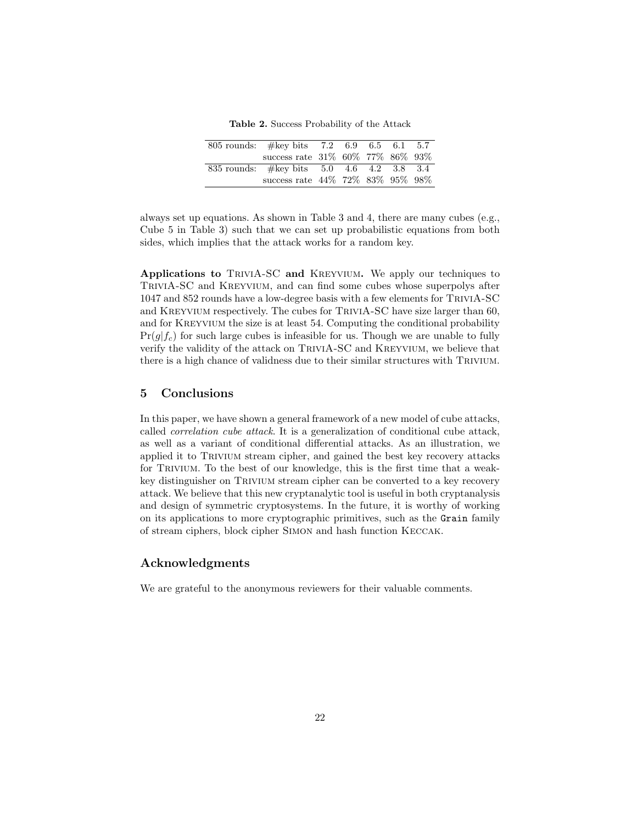<span id="page-21-1"></span>Table 2. Success Probability of the Attack

| 805 rounds: #key bits 7.2 6.9 6.5 6.1 5.7                           |  |  |  |
|---------------------------------------------------------------------|--|--|--|
| success rate $31\%$ 60\% 77\% 86\% 93\%                             |  |  |  |
| 835 rounds: #key bits $5.0 \quad 4.6 \quad 4.2 \quad 3.8 \quad 3.4$ |  |  |  |
| success rate $44\%$ 72\% 83\% 95\% 98\%                             |  |  |  |

always set up equations. As shown in Table 3 and 4, there are many cubes (e.g., Cube 5 in Table 3) such that we can set up probabilistic equations from both sides, which implies that the attack works for a random key.

Applications to TriviA-SC and Kreyvium. We apply our techniques to TriviA-SC and Kreyvium, and can find some cubes whose superpolys after 1047 and 852 rounds have a low-degree basis with a few elements for TriviA-SC and Kreyvium respectively. The cubes for TriviA-SC have size larger than 60, and for Kreyvium the size is at least 54. Computing the conditional probability  $Pr(g|f_c)$  for such large cubes is infeasible for us. Though we are unable to fully verify the validity of the attack on TriviA-SC and Kreyvium, we believe that there is a high chance of validness due to their similar structures with Trivium.

## <span id="page-21-0"></span>5 Conclusions

In this paper, we have shown a general framework of a new model of cube attacks, called correlation cube attack. It is a generalization of conditional cube attack, as well as a variant of conditional differential attacks. As an illustration, we applied it to Trivium stream cipher, and gained the best key recovery attacks for TRIVIUM. To the best of our knowledge, this is the first time that a weakkey distinguisher on Trivium stream cipher can be converted to a key recovery attack. We believe that this new cryptanalytic tool is useful in both cryptanalysis and design of symmetric cryptosystems. In the future, it is worthy of working on its applications to more cryptographic primitives, such as the Grain family of stream ciphers, block cipher Simon and hash function Keccak.

## Acknowledgments

We are grateful to the anonymous reviewers for their valuable comments.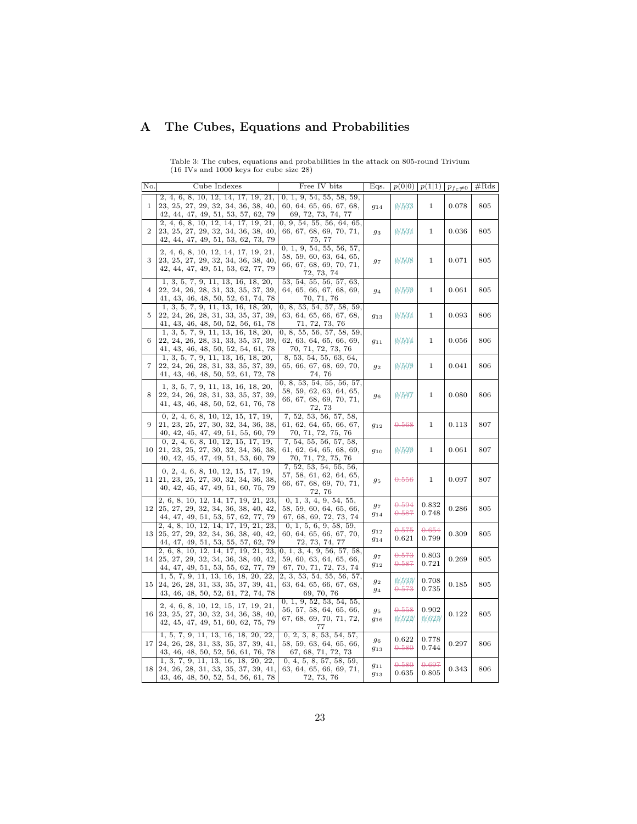# <span id="page-22-0"></span>A The Cubes, Equations and Probabilities

| Table 3: The cubes, equations and probabilities in the attack on 805-round Trivium |  |  |  |  |  |
|------------------------------------------------------------------------------------|--|--|--|--|--|
| $(16 \text{ IVs and } 1000 \text{ keys for cube size } 28)$                        |  |  |  |  |  |

| No. | Cube Indexes                                                                                                       | Free IV bits                                                                                 | Eqs.              |                          | p(0 0)   p(1 1)  | $p_{f_c\neq 0}$ | #Rds |
|-----|--------------------------------------------------------------------------------------------------------------------|----------------------------------------------------------------------------------------------|-------------------|--------------------------|------------------|-----------------|------|
| 1   | 2, 4, 6, 8, 10, 12, 14, 17, 19, 21,<br>23, 25, 27, 29, 32, 34, 36, 38, 40,<br>42, 44, 47, 49, 51, 53, 57, 62, 79   | 0, 1, 9, 54, 55, 58, 59,<br>60, 64, 65, 66, 67, 68,<br>69, 72, 73, 74, 77                    | 914               | Q/5/3/3                  | $\mathbf{1}$     | 0.078           | 805  |
| 2   | 2, 4, 6, 8, 10, 12, 14, 17, 19, 21,<br>23, 25, 27, 29, 32, 34, 36, 38, 40,<br>42, 44, 47, 49, 51, 53, 62, 73, 79   | 0, 9, 54, 55, 56, 64, 65,<br>66, 67, 68, 69, 70, 71,<br>75, 77                               | 93                | Q/5/34                   | 1                | 0.036           | 805  |
| 3   | 2, 4, 6, 8, 10, 12, 14, 17, 19, 21,<br>23, 25, 27, 29, 32, 34, 36, 38, 40,<br>42, 44, 47, 49, 51, 53, 62, 77, 79   | 0, 1, 9, 54, 55, 56, 57,<br>58, 59, 60, 63, 64, 65,<br>66, 67, 68, 69, 70, 71,<br>72, 73, 74 | 97                | Q/5Q8                    | 1                | 0.071           | 805  |
| 4   | 1, 3, 5, 7, 9, 11, 13, 16, 18, 20,<br>22, 24, 26, 28, 31, 33, 35, 37, 39,<br>41, 43, 46, 48, 50, 52, 61, 74, 78    | 53, 54, 55, 56, 57, 63,<br>64, 65, 66, 67, 68, 69,<br>70, 71, 76                             | 94                | Q/55Q                    | 1                | 0.061           | 805  |
| 5   | 1, 3, 5, 7, 9, 11, 13, 16, 18, 20,<br>22, 24, 26, 28, 31, 33, 35, 37, 39,<br>41, 43, 46, 48, 50, 52, 56, 61, 78    | 0, 8, 53, 54, 57, 58, 59,<br>63, 64, 65, 66, 67, 68,<br>71, 72, 73, 76                       | 913               | Ø/5/34                   | 1                | 0.093           | 806  |
| 6   | 1, 3, 5, 7, 9, 11, 13, 16, 18, 20,<br>22, 24, 26, 28, 31, 33, 35, 37, 39<br>41, 43, 46, 48, 50, 52, 54, 61, 78     | 0, 8, 55, 56, 57, 58, 59,<br>62, 63, 64, 65, 66, 69,<br>70, 71, 72, 73, 76                   | $g_{11}$          | 0/5/¥4                   | 1                | 0.056           | 806  |
| 7   | 1, 3, 5, 7, 9, 11, 13, 16, 18, 20,<br>22, 24, 26, 28, 31, 33, 35, 37, 39,<br>41, 43, 46, 48, 50, 52, 61, 72, 78    | 8, 53, 54, 55, 63, 64,<br>65, 66, 67, 68, 69, 70,<br>74, 76                                  | $g_2$             | Ø/509                    | 1                | 0.041           | 806  |
| 8   | 1, 3, 5, 7, 9, 11, 13, 16, 18, 20,<br>22, 24, 26, 28, 31, 33, 35, 37, 39,<br>41, 43, 46, 48, 50, 52, 61, 76, 78    | 0, 8, 53, 54, 55, 56, 57,<br>58, 59, 62, 63, 64, 65,<br>66, 67, 68, 69, 70, 71,<br>72, 73    | 96                | 0/5/47                   | 1                | 0.080           | 806  |
| 9   | 0, 2, 4, 6, 8, 10, 12, 15, 17, 19,<br>21, 23, 25, 27, 30, 32, 34, 36, 38.<br>40, 42, 45, 47, 49, 51, 55, 60, 79    | 7, 52, 53, 56, 57, 58,<br>61, 62, 64, 65, 66, 67,<br>70, 71, 72, 75, 76                      | 912               | 0.568                    | 1                | 0.113           | 807  |
|     | 0, 2, 4, 6, 8, 10, 12, 15, 17, 19,<br>10 21, 23, 25, 27, 30, 32, 34, 36, 38,<br>40, 42, 45, 47, 49, 51, 53, 60, 79 | 7, 54, 55, 56, 57, 58,<br>61, 62, 64, 65, 68, 69,<br>70, 71, 72, 75, 76                      | $g_{10}$          | Q/5/2Q                   | 1                | 0.061           | 807  |
| 11  | 0, 2, 4, 6, 8, 10, 12, 15, 17, 19,<br>21, 23, 25, 27, 30, 32, 34, 36, 38<br>40, 42, 45, 47, 49, 51, 60, 75, 79     | 7, 52, 53, 54, 55, 56,<br>57, 58, 61, 62, 64, 65,<br>66, 67, 68, 69, 70, 71,<br>72, 76       | 95                | 0.556                    | $\mathbf{1}$     | 0.097           | 807  |
| 12  | 2, 6, 8, 10, 12, 14, 17, 19, 21, 23,<br>25, 27, 29, 32, 34, 36, 38, 40, 42,<br>44, 47, 49, 51, 53, 57, 62, 77, 79  | 0, 1, 3, 4, 9, 54, 55,<br>58, 59, 60, 64, 65, 66,<br>67, 68, 69, 72, 73, 74                  | $g_7$<br>$g_{14}$ | 0.594<br>0.587           | 0.832<br>0.748   | 0.286           | 805  |
| 13  | 2, 4, 8, 10, 12, 14, 17, 19, 21, 23,<br>25, 27, 29, 32, 34, 36, 38, 40, 42,<br>44, 47, 49, 51, 53, 55, 57, 62, 79  | 0, 1, 5, 6, 9, 58, 59,<br>60, 64, 65, 66, 67, 70,<br>72, 73, 74, 77                          | $g_{12}$<br>914   | 0.575<br>0.621           | 0.654<br>0.799   | 0.309           | 805  |
| 14  | 2, 6, 8, 10, 12, 14, 17, 19, 21, 23.<br>[25, 27, 29, 32, 34, 36, 38, 40, 42,<br>44, 47, 49, 51, 53, 55, 62, 77, 79 | 0, 1, 3, 4, 9, 56, 57, 58,<br>59, 60, 63, 64, 65, 66,<br>67, 70, 71, 72, 73, 74              | 97<br>$g_{12}$    | 0.573<br>0.587           | 0.803<br>0.721   | 0.269           | 805  |
| 15  | 1, 5, 7, 9, 11, 13, 16, 18, 20, 22,<br>24, 26, 28, 31, 33, 35, 37, 39, 41,<br>43, 46, 48, 50, 52, 61, 72, 74, 78   | 2, 3, 53, 54, 55, 56, 57,<br>63, 64, 65, 66, 67, 68,<br>69, 70, 76                           | 92<br>94          | 01.513.BI<br>0.573       | 0.708<br>0.735   | 0.185           | 805  |
| 16  | 2, 4, 6, 8, 10, 12, 15, 17, 19, 21,<br>23, 25, 27, 30, 32, 34, 36, 38, 40.<br>42, 45, 47, 49, 51, 60, 62, 75, 79   | 0, 1, 9, 52, 53, 54, 55,<br>56, 57, 58, 64, 65, 66,<br>67, 68, 69, 70, 71, 72,<br>77         | $g_5$<br>$g_{16}$ | 0.558<br><i>01.51221</i> | 0.902<br>01.62BI | 0.122           | 805  |
| 17  | 1, 5, 7, 9, 11, 13, 16, 18, 20, 22,<br>24, 26, 28, 31, 33, 35, 37, 39, 41,<br>43, 46, 48, 50, 52, 56, 61, 76, 78   | 0, 2, 3, 8, 53, 54, 57,<br>58, 59, 63, 64, 65, 66,<br>67, 68, 71, 72, 73                     | 96<br>913         | $_{0.622}$<br>0.580      | 0.778<br>0.744   | 0.297           | 806  |
| 18  | 1, 3, 7, 9, 11, 13, 16, 18, 20, 22,<br>24, 26, 28, 31, 33, 35, 37, 39, 41,<br>43, 46, 48, 50, 52, 54, 56, 61, 78   | 0, 4, 5, 8, 57, 58, 59,<br>63, 64, 65, 66, 69, 71,<br>72, 73, 76                             | $g_{11}$<br>913   | 0.580<br>0.635           | 0.697<br>0.805   | 0.343           | 806  |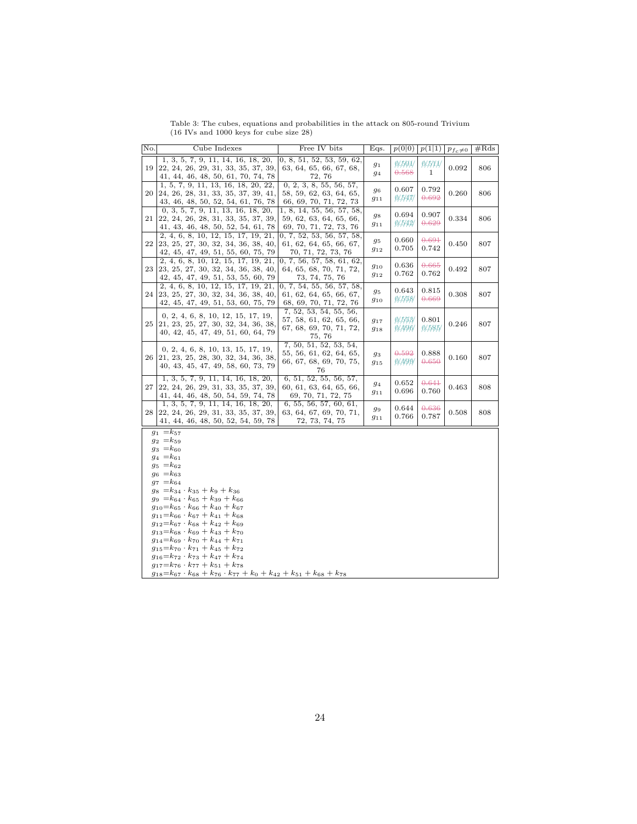Table 3: The cubes, equations and probabilities in the attack on 805-round Trivium (16 IVs and 1000 keys for cube size 28)

| No. | Cube Indexes                                                                                                                                                                                                                                                                                                                                                                                                                                                                                                                                                                                                                                                                                                       | Free IV bits                                                                           | Eqs.                 | p(0 0)                  | p(1 1)             | $p_{fc\neq0}$ | #Rds |
|-----|--------------------------------------------------------------------------------------------------------------------------------------------------------------------------------------------------------------------------------------------------------------------------------------------------------------------------------------------------------------------------------------------------------------------------------------------------------------------------------------------------------------------------------------------------------------------------------------------------------------------------------------------------------------------------------------------------------------------|----------------------------------------------------------------------------------------|----------------------|-------------------------|--------------------|---------------|------|
| 19  | 1, 3, 5, 7, 9, 11, 14, 16, 18, 20,<br>22, 24, 26, 29, 31, 33, 35, 37, 39,<br>41, 44, 46, 48, 50, 61, 70, 74, 78                                                                                                                                                                                                                                                                                                                                                                                                                                                                                                                                                                                                    | 0, 8, 51, 52, 53, 59, 62,<br>63, 64, 65, 66, 67, 68,<br>72, 76                         | $g_1$<br>94          | 01.50A/<br>0.568        | 01.5/Y A/<br>1     | 0.092         | 806  |
| 20  | 1, 5, 7, 9, 11, 13, 16, 18, 20, 22,<br>24, 26, 28, 31, 33, 35, 37, 39, 41,<br>43, 46, 48, 50, 52, 54, 61, 76, 78                                                                                                                                                                                                                                                                                                                                                                                                                                                                                                                                                                                                   | 0, 2, 3, 8, 55, 56, 57,<br>58, 59, 62, 63, 64, 65,<br>66, 69, 70, 71, 72, 73           | 96<br>$g_{11}$       | $_{0.607}$<br>P)!F}477/ | 0.792<br>0.692     | 0.260         | 806  |
| 21  | 0, 3, 5, 7, 9, 11, 13, 16, 18, 20,<br>22, 24, 26, 28, 31, 33, 35, 37, 39,<br>41, 43, 46, 48, 50, 52, 54, 61, 78                                                                                                                                                                                                                                                                                                                                                                                                                                                                                                                                                                                                    | 1, 8, 14, 55, 56, 57, 58,<br>59, 62, 63, 64, 65, 66,<br>69, 70, 71, 72, 73, 76         | 98<br>$g_{11}$       | 0.694<br>01.514.21      | 0.907<br>0.629     | 0.334         | 806  |
| 22  | 2, 4, 6, 8, 10, 12, 15, 17, 19, 21,<br>23, 25, 27, 30, 32, 34, 36, 38, 40,<br>42, 45, 47, 49, 51, 55, 60, 75, 79                                                                                                                                                                                                                                                                                                                                                                                                                                                                                                                                                                                                   | 0, 7, 52, 53, 56, 57, 58,<br>61, 62, 64, 65, 66, 67,<br>70, 71, 72, 73, 76             | $g_5$<br>$g_{12}$    | 0.660<br>0.705          | 0.691<br>0.742     | 0.450         | 807  |
| 23  | 2, 4, 6, 8, 10, 12, 15, 17, 19, 21,<br>23, 25, 27, 30, 32, 34, 36, 38, 40,<br>42, 45, 47, 49, 51, 53, 55, 60, 79                                                                                                                                                                                                                                                                                                                                                                                                                                                                                                                                                                                                   | 0, 7, 56, 57, 58, 61, 62,<br>64, 65, 68, 70, 71, 72,<br>73, 74, 75, 76                 | $g_{10}$<br>$g_{12}$ | 0.636<br>0.762          | 0.665<br>0.762     | 0.492         | 807  |
| 24  | 2, 4, 6, 8, 10, 12, 15, 17, 19, 21,<br>[23, 25, 27, 30, 32, 34, 36, 38, 40,<br>42, 45, 47, 49, 51, 53, 60, 75, 79                                                                                                                                                                                                                                                                                                                                                                                                                                                                                                                                                                                                  | 0, 7, 54, 55, 56, 57, 58.<br>61, 62, 64, 65, 66, 67,<br>68, 69, 70, 71, 72, 76         | 95<br>$_{g_{10}}$    | 0.643<br>01.5581        | 0.815<br>0.669     | 0.308         | 807  |
| 25  | 0, 2, 4, 6, 8, 10, 12, 15, 17, 19,<br>21, 23, 25, 27, 30, 32, 34, 36, 38,<br>40, 42, 45, 47, 49, 51, 60, 64, 79                                                                                                                                                                                                                                                                                                                                                                                                                                                                                                                                                                                                    | 7, 52, 53, 54, 55, 56,<br>57, 58, 61, 62, 65, 66,<br>67, 68, 69, 70, 71, 72,<br>75, 76 | 917<br>918           | 01.553 B<br>01.A961     | 0.801<br>01.518.51 | 0.246         | 807  |
| 26  | 0, 2, 4, 6, 8, 10, 13, 15, 17, 19,<br> 21, 23, 25, 28, 30, 32, 34, 36, 38,<br>40, 43, 45, 47, 49, 58, 60, 73, 79                                                                                                                                                                                                                                                                                                                                                                                                                                                                                                                                                                                                   | 7, 50, 51, 52, 53, 54,<br>55, 56, 61, 62, 64, 65,<br>66, 67, 68, 69, 70, 75,<br>76     | 93<br>$g_{15}$       | 0.592<br>(V.A99)        | 0.888<br>0.650     | $_{0.160}$    | 807  |
|     | 1, 3, 5, 7, 9, 11, 14, 16, 18, 20,<br>27 22, 24, 26, 29, 31, 33, 35, 37, 39,<br>41, 44, 46, 48, 50, 54, 59, 74, 78                                                                                                                                                                                                                                                                                                                                                                                                                                                                                                                                                                                                 | 6, 51, 52, 55, 56, 57,<br>60, 61, 63, 64, 65, 66,<br>69, 70, 71, 72, 75                | 94<br>$g_{11}$       | 0.652<br>0.696          | 0.641<br>0.760     | 0.463         | 808  |
| 28  | 1, 3, 5, 7, 9, 11, 14, 16, 18, 20,<br>22, 24, 26, 29, 31, 33, 35, 37, 39,<br>41, 44, 46, 48, 50, 52, 54, 59, 78                                                                                                                                                                                                                                                                                                                                                                                                                                                                                                                                                                                                    | 6, 55, 56, 57, 60, 61,<br>63, 64, 67, 69, 70, 71,<br>72, 73, 74, 75                    | 99<br>$g_{11}$       | 0.644<br>0.766          | 0.636<br>0.787     | 0.508         | 808  |
|     | $g_1 = k_{57}$<br>$g_2 = k_{59}$<br>$g_3 = k_{60}$<br>$g_4 = k_{61}$<br>$g_5 = k_{62}$<br>$g_6 = k_{63}$<br>$q_7 = k_{64}$<br>$g_8 = k_{34} \cdot k_{35} + k_9 + k_{36}$<br>$g_9 = k_{64} \cdot k_{65} + k_{39} + k_{66}$<br>$g_{10} = k_{65} \cdot k_{66} + k_{40} + k_{67}$<br>$g_{11} = k_{66} \cdot k_{67} + k_{41} + k_{68}$<br>$g_{12}=k_{67}\cdot k_{68}+k_{42}+k_{69}$<br>$g_{13}=k_{68}\cdot k_{69}+k_{43}+k_{70}$<br>$g_{14}=k_{69} \cdot k_{70}+k_{44}+k_{71}$<br>$q_{15}=k_{70} \cdot k_{71}+k_{45}+k_{72}$<br>$g_{16}=k_{72}\cdot k_{73}+k_{47}+k_{74}$<br>$g_{17}=k_{76} \cdot k_{77}+k_{51}+k_{78}$<br>$g_{18}=k_{67} \cdot k_{68} + k_{76} \cdot k_{77} + k_0 + k_{42} + k_{51} + k_{68} + k_{78}$ |                                                                                        |                      |                         |                    |               |      |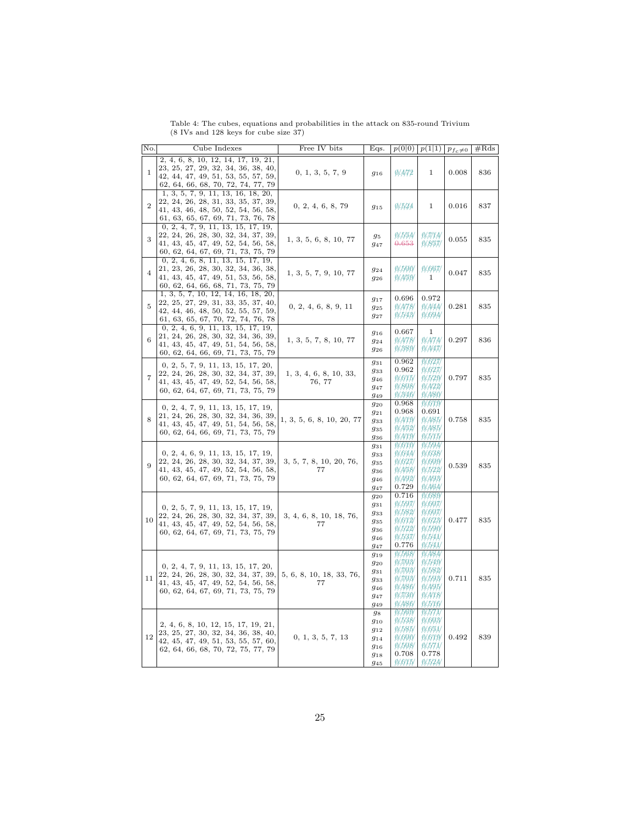| Table 4: The cubes, equations and probabilities in the attack on 835-round Trivium |  |  |  |
|------------------------------------------------------------------------------------|--|--|--|
| $(8 \text{ IVs and } 128 \text{ keys for cube size } 37)$                          |  |  |  |

<span id="page-24-0"></span>

| No.            | Cube Indexes                                                                                                                                            | Free IV bits                     | Eqs.                                                           |                                                                                                   | $p(0 0)   p(1 1)   p_{fc} \neq 0$                                                |       | #Rds |
|----------------|---------------------------------------------------------------------------------------------------------------------------------------------------------|----------------------------------|----------------------------------------------------------------|---------------------------------------------------------------------------------------------------|----------------------------------------------------------------------------------|-------|------|
| $\mathbf{1}$   | 2, 4, 6, 8, 10, 12, 14, 17, 19, 21,<br>23, 25, 27, 29, 32, 34, 36, 38, 40,<br>42, 44, 47, 49, 51, 53, 55, 57, 59,<br>62, 64, 66, 68, 70, 72, 74, 77, 79 | 0, 1, 3, 5, 7, 9                 | 916                                                            | <i><b>0/472</b></i>                                                                               | $\mathbf{1}$                                                                     | 0.008 | 836  |
| $\overline{2}$ | 1, 3, 5, 7, 9, 11, 13, 16, 18, 20,<br>22, 24, 26, 28, 31, 33, 35, 37, 39,<br>41, 43, 46, 48, 50, 52, 54, 56, 58,<br>61, 63, 65, 67, 69, 71, 73, 76, 78  | 0, 2, 4, 6, 8, 79                | $g_{15}$                                                       | 0.524                                                                                             | 1                                                                                | 0.016 | 837  |
| 3              | 0, 2, 4, 7, 9, 11, 13, 15, 17, 19,<br>22, 24, 26, 28, 30, 32, 34, 37, 39,<br>41, 43, 45, 47, 49, 52, 54, 56, 58,<br>60, 62, 64, 67, 69, 71, 73, 75, 79  | 1, 3, 5, 6, 8, 10, 77            | $\mathfrak{g}_5$<br>947                                        | <i>01.1544</i><br>0.653                                                                           | 01:77 Y AI<br>(V.B577                                                            | 0.055 | 835  |
| $\overline{4}$ | 0, 2, 4, 6, 8, 11, 13, 15, 17, 19,<br>21, 23, 26, 28, 30, 32, 34, 36, 38,<br>41, 43, 45, 47, 49, 51, 53, 56, 58,<br>60, 62, 64, 66, 68, 71, 73, 75, 79  | 1, 3, 5, 7, 9, 10, 77            | $g_{24}$<br>926                                                | 01.500<br>01.4591                                                                                 | JV:61977/<br>$\mathbf{1}$                                                        | 0.047 | 835  |
| 5              | 1, 3, 5, 7, 10, 12, 14, 16, 18, 20,<br>22, 25, 27, 29, 31, 33, 35, 37, 40,<br>42, 44, 46, 48, 50, 52, 55, 57, 59,<br>61, 63, 65, 67, 70, 72, 74, 76, 78 | 0, 2, 4, 6, 8, 9, 11             | $g_{17}$<br>$g_{25}$<br>$g_{27}$                               | 0.696<br>01.A781<br>(V):15/4,13/                                                                  | 0.972<br>01.A4A/<br>01.69A                                                       | 0.281 | 835  |
| 6              | 0, 2, 4, 6, 9, 11, 13, 15, 17, 19,<br>21, 24, 26, 28, 30, 32, 34, 36, 39,<br>41, 43, 45, 47, 49, 51, 54, 56, 58,<br>60, 62, 64, 66, 69, 71, 73, 75, 79  | 1, 3, 5, 7, 8, 10, 77            | $g_{16}$<br>$g_{24}$<br>$g_{26}$                               | 0.667<br><b><i>0/.478</i></b><br>01.BB91                                                          | 1<br>01.A7A<br>01.4470                                                           | 0.297 | 836  |
| $\overline{7}$ | 0, 2, 5, 7, 9, 11, 13, 15, 17, 20,<br>22, 24, 26, 28, 30, 32, 34, 37, 39,<br>41, 43, 45, 47, 49, 52, 54, 56, 58,<br>60, 62, 64, 67, 69, 71, 73, 75, 79  | 1, 3, 4, 6, 8, 10, 33,<br>76, 77 | $g_{31}$<br>933<br>946<br>$g_{47}$<br>949                      | 0.962<br>0.962<br>0.645<br>01.8081<br>Ø/.B/46/                                                    | Q).67277<br>01.6277<br>01.572.91<br>(I) 42.21<br>0/.480/                         | 0.797 | 835  |
| 8              | 0, 2, 4, 7, 9, 11, 13, 15, 17, 19,<br>21, 24, 26, 28, 30, 32, 34, 36, 39,<br>41, 43, 45, 47, 49, 51, 54, 56, 58,<br>60, 62, 64, 66, 69, 71, 73, 75, 79  | 1, 3, 5, 6, 8, 10, 20, 77        | 920<br>$g_{21}$<br>933<br>935<br>936                           | 0.968<br>0.968<br>(0).AY (9)<br>01.45 P<br>(I).AY (I)                                             | Q).6/Y.9/<br>0.691<br>01.AS5/<br>01.AS51<br>01.5/Y.5/                            | 0.758 | 835  |
| 9              | 0, 2, 4, 6, 9, 11, 13, 15, 17, 19,<br>22, 24, 26, 28, 30, 32, 34, 37, 39,<br>41, 43, 45, 47, 49, 52, 54, 56, 58,<br>60, 62, 64, 67, 69, 71, 73, 75, 79  | 3, 5, 7, 8, 10, 20, 76,<br>77    | $g_{31}$<br>$g_{33}$<br>935<br>936<br>946<br>$g_{47}$          | 01.6ILOJ<br>01.64A<br>01.6270<br>01.4581<br>01.4921<br>0.729                                      | 01.59A<br>Q1.638/<br>Ø!.609/<br>01.15/2,21<br>01.A9BI<br>01.46A                  | 0.539 | 835  |
| 10             | 0, 2, 5, 7, 9, 11, 13, 15, 17, 19,<br>22, 24, 26, 28, 30, 32, 34, 37, 39,<br>41, 43, 45, 47, 49, 52, 54, 56, 58,<br>60, 62, 64, 67, 69, 71, 73, 75, 79  | 3, 4, 6, 8, 10, 18, 76,<br>77    | 920<br>$g_{31}$<br>933<br>935<br>936<br>946<br>$g_{47}$        | 0.716<br>01.5977<br>01.51821<br>01.611.PI<br>01.572.PI<br>(0).1537(1<br>0.776                     | Q/.689/<br>Q/.6Q77/<br>Ø/.6077<br>01.672B/<br>QI.59Q/<br>()/.5/4A<br>Ø!.5/4A     | 0.477 | 835  |
| 11             | 0, 2, 4, 7, 9, 11, 13, 15, 17, 20,<br>22, 24, 26, 28, 30, 32, 34, 37, 39,<br>41, 43, 45, 47, 49, 52, 54, 56, 58,<br>60, 62, 64, 67, 69, 71, 73, 75, 79  | 5, 6, 8, 10, 18, 33, 76,<br>77   | 919<br>$g_{20}$<br>$g_{31}$<br>933<br>946<br>947<br>949        | 01.568<br>01.77/0 <i>B</i><br>01.77/9 <i>7</i> 91<br>01.77/0 B/<br>01.4861<br>Q):773DI<br>01.4861 | 01.48A<br>01.5/4.9/<br>01.5821<br>01.59.B/<br>(I).495/<br>01.AYS<br>01.5/16/     | 0.711 | 835  |
| 12             | 2, 4, 6, 8, 10, 12, 15, 17, 19, 21,<br>23, 25, 27, 30, 32, 34, 36, 38, 40,<br>42, 45, 47, 49, 51, 53, 55, 57, 60,<br>62, 64, 66, 68, 70, 72, 75, 77, 79 | 0, 1, 3, 5, 7, 13                | $g_8$<br>$g_{10}$<br>$g_{12}$<br>914<br>$g_{16}$<br>918<br>945 | 01.51391<br>01.5381<br>01.518.51<br><i>0/.600</i><br>01.5081<br>0.708<br>01.611.5/                | <i>01.57 A/</i><br>0.60B<br>Ø!.651./<br>0/.6/19/<br>01.57 A<br>0.778<br>01.512AI | 0.492 | 839  |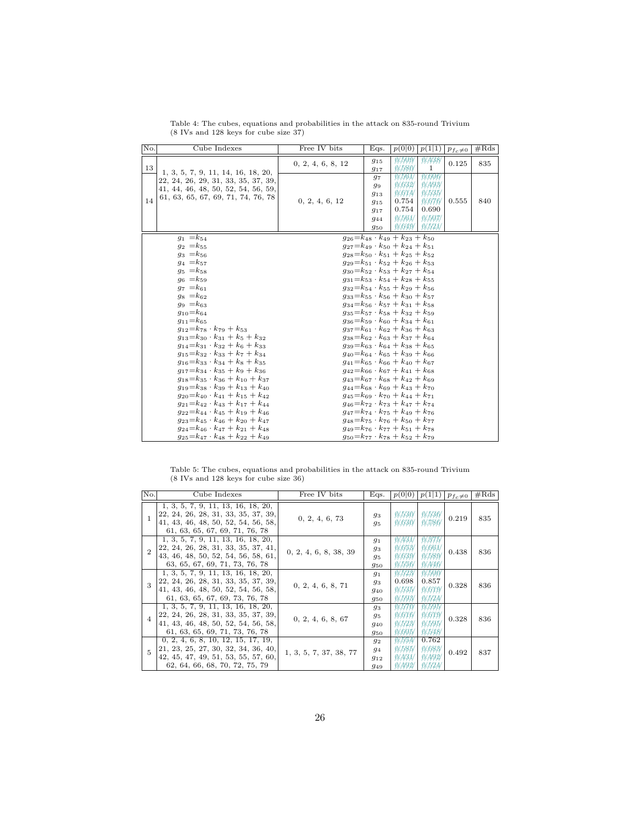| Table 4: The cubes, equations and probabilities in the attack on 835-round Trivium |  |  |  |
|------------------------------------------------------------------------------------|--|--|--|
| $(8 \text{ IVs and } 128 \text{ keys for cube size } 37)$                          |  |  |  |

| No. | Cube Indexes                                                                                                     | Free IV bits      | Eqs.                                                                                         |                                                                                         | $\overline{p(0 0)\mid p(1 1)\mid p_{fc}\neq 0}$             |       | #Rds |  |  |
|-----|------------------------------------------------------------------------------------------------------------------|-------------------|----------------------------------------------------------------------------------------------|-----------------------------------------------------------------------------------------|-------------------------------------------------------------|-------|------|--|--|
| 13  | 1, 3, 5, 7, 9, 11, 14, 16, 18, 20,                                                                               | 0, 2, 4, 6, 8, 12 | $g_{15}$<br>$g_{17}$                                                                         |                                                                                         | (V):AFB<br>$\mathbf{1}$                                     | 0.125 | 835  |  |  |
| 14  | 22, 24, 26, 29, 31, 33, 35, 37, 39,<br>41, 44, 46, 48, 50, 52, 54, 56, 59,<br>61, 63, 65, 67, 69, 71, 74, 76, 78 | 0, 2, 4, 6, 12    | 97<br>99<br>913<br>915<br>917<br>944<br>950                                                  | 0/.632/<br>0/.6/Y.A/<br>0.754<br>0.754<br>01.5/61<br>649                                | 0/.606/<br>0/.49B<br>01.535/<br>N.676/<br>0.690<br>01.51077 | 0.555 | 840  |  |  |
|     | $q_1 = k_{54}$                                                                                                   |                   |                                                                                              | $q_{26}=k_{48}\cdot k_{49}+k_{23}+k_{50}$                                               |                                                             |       |      |  |  |
|     | $q_2 = k_{55}$                                                                                                   |                   |                                                                                              | $q_{27}=k_{49} \cdot k_{50}+k_{24}+k_{51}$                                              |                                                             |       |      |  |  |
|     | $q_3 = k_{56}$                                                                                                   |                   |                                                                                              | $q_{28}=k_{50} \cdot k_{51}+k_{25}+k_{52}$                                              |                                                             |       |      |  |  |
|     | $q_4 = k_{57}$                                                                                                   |                   |                                                                                              | $q_{29} = k_{51} \cdot k_{52} + k_{26} + k_{53}$                                        |                                                             |       |      |  |  |
|     | $q_5 = k_{58}$                                                                                                   |                   |                                                                                              | $q_{30} = k_{52} \cdot k_{53} + k_{27} + k_{54}$                                        |                                                             |       |      |  |  |
|     | $g_6 = k_{59}$                                                                                                   |                   |                                                                                              | $q_{31} = k_{53} \cdot k_{54} + k_{28} + k_{55}$                                        |                                                             |       |      |  |  |
|     | $q_7 = k_{61}$<br>$g_8 = k_{62}$                                                                                 |                   |                                                                                              | $q_{32}=k_{54} \cdot k_{55}+k_{29}+k_{56}$<br>$q_{33}=k_{55}\cdot k_{56}+k_{30}+k_{57}$ |                                                             |       |      |  |  |
|     | $q_9 = k_{63}$                                                                                                   |                   |                                                                                              |                                                                                         |                                                             |       |      |  |  |
|     | $q_{10} = k_{64}$                                                                                                |                   | $q_{34}=k_{56} \cdot k_{57}+k_{31}+k_{58}$<br>$q_{35}=k_{57} \cdot k_{58} + k_{32} + k_{59}$ |                                                                                         |                                                             |       |      |  |  |
|     | $q_{11} = k_{65}$                                                                                                |                   | $q_{36} = k_{59} \cdot k_{60} + k_{34} + k_{61}$                                             |                                                                                         |                                                             |       |      |  |  |
|     | $q_{12}=k_{78}\cdot k_{79}+k_{53}$                                                                               |                   |                                                                                              | $q_{37}=k_{61} \cdot k_{62}+k_{36}+k_{63}$                                              |                                                             |       |      |  |  |
|     | $q_{13}=k_{30} \cdot k_{31}+k_5+k_{32}$                                                                          |                   | $q_{38}=k_{62} \cdot k_{63} + k_{37} + k_{64}$                                               |                                                                                         |                                                             |       |      |  |  |
|     | $q_{14}=k_{31} \cdot k_{32}+k_6+k_{33}$                                                                          |                   |                                                                                              | $q_{39} = k_{63} \cdot k_{64} + k_{38} + k_{65}$                                        |                                                             |       |      |  |  |
|     | $q_{15}=k_{32}\cdot k_{33}+k_7+k_{34}$                                                                           |                   |                                                                                              | $q_{40} = k_{64} \cdot k_{65} + k_{39} + k_{66}$                                        |                                                             |       |      |  |  |
|     | $q_{16}=k_{33}\cdot k_{34}+k_8+k_{35}$                                                                           |                   |                                                                                              | $g_{41} = k_{65} \cdot k_{66} + k_{40} + k_{67}$                                        |                                                             |       |      |  |  |
|     | $q_{17}=k_{34}\cdot k_{35}+k_9+k_{36}$                                                                           |                   |                                                                                              | $q_{42}=k_{66} \cdot k_{67}+k_{41}+k_{68}$                                              |                                                             |       |      |  |  |
|     | $q_{18}=k_{35}\cdot k_{36}+k_{10}+k_{37}$                                                                        |                   |                                                                                              | $q_{43}=k_{67} \cdot k_{68} + k_{42} + k_{69}$                                          |                                                             |       |      |  |  |
|     | $q_{19}=k_{38}\cdot k_{39}+k_{13}+k_{40}$                                                                        |                   |                                                                                              | $q_{44} = k_{68} \cdot k_{69} + k_{43} + k_{70}$                                        |                                                             |       |      |  |  |
|     | $q_{20} = k_{40} \cdot k_{41} + k_{15} + k_{42}$                                                                 |                   |                                                                                              | $q_{45}=k_{69} \cdot k_{70} + k_{44} + k_{71}$                                          |                                                             |       |      |  |  |
|     | $q_{21} = k_{42} \cdot k_{43} + k_{17} + k_{44}$                                                                 |                   |                                                                                              | $q_{46}=k_{72} \cdot k_{73} + k_{47} + k_{74}$                                          |                                                             |       |      |  |  |
|     | $q_{22}=k_{44}\cdot k_{45}+k_{19}+k_{46}$                                                                        |                   |                                                                                              | $q_{47}=k_{74}\cdot k_{75}+k_{49}+k_{76}$                                               |                                                             |       |      |  |  |
|     | $q_{23}=k_{45}\cdot k_{46}+k_{20}+k_{47}$                                                                        |                   |                                                                                              | $q_{48} = k_{75} \cdot k_{76} + k_{50} + k_{77}$                                        |                                                             |       |      |  |  |
|     | $q_{24}=k_{46}\cdot k_{47}+k_{21}+k_{48}$                                                                        |                   |                                                                                              | $q_{49}=k_{76} \cdot k_{77}+k_{51}+k_{78}$                                              |                                                             |       |      |  |  |
|     | $q_{25}=k_{47}\cdot k_{48}+k_{22}+k_{49}$                                                                        |                   |                                                                                              | $q_{50} = k_{77} \cdot k_{78} + k_{52} + k_{79}$                                        |                                                             |       |      |  |  |

<span id="page-25-0"></span>Table 5: The cubes, equations and probabilities in the attack on 835-round Trivium (8 IVs and 128 keys for cube size 36)

| lΝo. | Cube Indexes                                                                                                                                       | Free IV bits           | Eqs.                      | p(0 0)              | p(1 1)              | $p_{fc} \neq 0$ | #Rds |
|------|----------------------------------------------------------------------------------------------------------------------------------------------------|------------------------|---------------------------|---------------------|---------------------|-----------------|------|
| 1    | 1, 3, 5, 7, 9, 11, 13, 16, 18, 20,<br>22, 24, 26, 28, 31, 33, 35, 37, 39,<br>41, 43, 46, 48, 50, 52, 54, 56, 58,<br>61, 63, 65, 67, 69, 71, 76, 78 | 0, 2, 4, 6, 73         | 93<br>95                  | 01.51301<br>0.630   | 01.513.61<br>0.7786 | 0.219           | 835  |
| 2    | 1, 3, 5, 7, 9, 11, 13, 16, 18, 20,<br>22, 24, 26, 28, 31, 33, 35, 37, 41,<br>43, 46, 48, 50, 52, 54, 56, 58, 61,<br>63, 65, 67, 69, 71, 73, 76, 78 | 0, 2, 4, 6, 8, 38, 39  | $g_1$<br>93<br>95<br>950  | <i><b>W.658</b></i> |                     | 0.438           | 836  |
| 3    | 1, 3, 5, 7, 9, 11, 13, 16, 18, 20,<br>22, 24, 26, 28, 31, 33, 35, 37, 39,<br>41, 43, 46, 48, 50, 52, 54, 56, 58,<br>61, 63, 65, 67, 69, 73, 76, 78 | 0, 2, 4, 6, 8, 71      | $g_1$<br>93<br>940<br>950 | 0.698<br>01.5351    | 0.857<br>0.679      | 0.328           | 836  |
|      | 1, 3, 5, 7, 9, 11, 13, 16, 18, 20,<br>22, 24, 26, 28, 31, 33, 35, 37, 39,<br>41, 43, 46, 48, 50, 52, 54, 56, 58,<br>61, 63, 65, 69, 71, 73, 76, 78 | 0, 2, 4, 6, 8, 67      | 93<br>95<br>940<br>950    |                     |                     | 0.328           | 836  |
| 5    | 0, 2, 4, 6, 8, 10, 12, 15, 17, 19,<br>21, 23, 25, 27, 30, 32, 34, 36, 40,<br>42, 45, 47, 49, 51, 53, 55, 57, 60,<br>62, 64, 66, 68, 70, 72, 75, 79 | 1, 3, 5, 7, 37, 38, 77 | 92<br>94<br>912<br>949    |                     | 0.762               | 0.492           | 837  |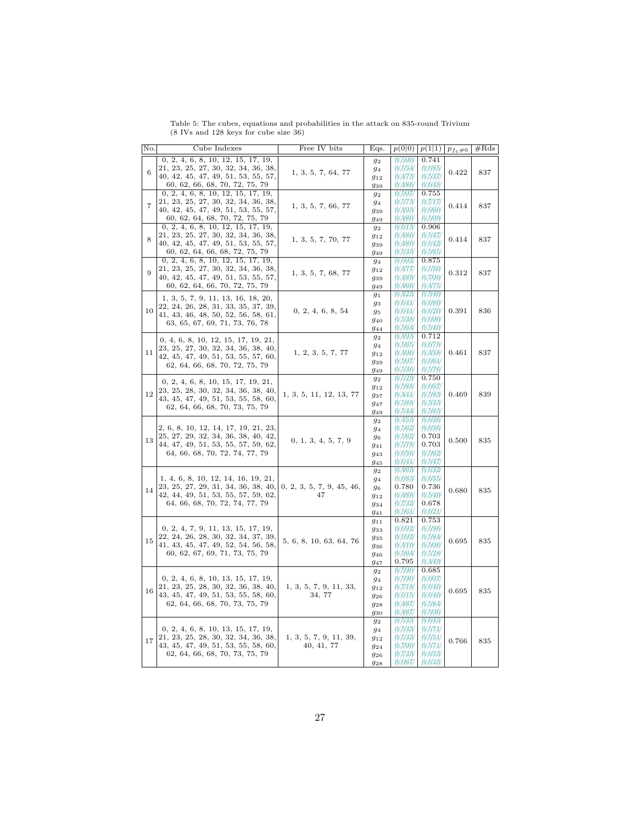Table 5: The cubes, equations and probabilities in the attack on 835-round Trivium (8 IVs and 128 keys for cube size 36)

| No. | Cube Indexes                                                          | Free IV bits                    | Eqs.             | p(0 0)             | p(1 1)            | $p_{fc\neq0}$ | #Rds |
|-----|-----------------------------------------------------------------------|---------------------------------|------------------|--------------------|-------------------|---------------|------|
|     | 0, 2, 4, 6, 8, 10, 12, 15, 17, 19,                                    |                                 | $g_2$            | 0/500              | 0.741             |               |      |
|     | 21, 23, 25, 27, 30, 32, 34, 36, 38,                                   |                                 | 94               | 0/55A              | 01.618.FY         |               |      |
| 6   | 40, 42, 45, 47, 49, 51, 53, 55, 57,                                   | 1, 3, 5, 7, 64, 77              | $g_{12}$         | $0/47$ B           | 01.5377           | 0.422         | 837  |
|     | 60, 62, 66, 68, 70, 72, 75, 79                                        |                                 | 939              | Ø/.A/8/6/          | 0.648             |               |      |
|     | 0, 2, 4, 6, 8, 10, 12, 15, 17, 19,                                    |                                 |                  |                    | 0.755             |               |      |
|     |                                                                       |                                 | $g_2$            | <u>(0) 5</u> 1,077 |                   |               | 837  |
| 7   | 21, 23, 25, 27, 30, 32, 34, 36, 38,                                   | 1, 3, 5, 7, 66, 77              | 94               | 01.57 BI           | 01.77/¥77/        | 0.414         |      |
|     | 40, 42, 45, 47, 49, 51, 53, 55, 57,                                   |                                 | 939              | 0.498              | <b>0.660</b>      |               |      |
|     | 60, 62, 64, 68, 70, 72, 75, 79                                        |                                 | 949              | (I).48(I)          | 01.5001           |               |      |
|     | 0, 2, 4, 6, 8, 10, 12, 15, 17, 19,                                    |                                 | $\mathfrak{g}_2$ | 0/.6/1 <i>B</i>    | 0.906             |               | 837  |
| 8   | 21, 23, 25, 27, 30, 32, 34, 36, 38,                                   | 1, 3, 5, 7, 70, 77              | $g_{12}$         | (0).A/8(1)         | 01.54470          | 0.414         |      |
|     | 40, 42, 45, 47, 49, 51, 53, 55, 57,                                   |                                 | 939              | 01.ASO             | 01.642            |               |      |
|     | 60, 62, 64, 66, 68, 72, 75, 79                                        |                                 | 949              | 01.53.BI           | <i>01.151</i> 815 |               |      |
|     | 0, 2, 4, 6, 8, 10, 12, 15, 17, 19,                                    |                                 | $g_4$            | 0/.602/            | 0.875             |               |      |
| 9   | 21, 23, 25, 27, 30, 32, 34, 36, 38,                                   |                                 | $g_{12}$         | (V.A77)            | Q1.55Q/           | 0.312         | 837  |
|     | 40, 42, 45, 47, 49, 51, 53, 55, 57,                                   | 1, 3, 5, 7, 68, 77              | 939              | (0).ASD            | Q)!77/QJQY        |               |      |
|     | 60, 62, 64, 66, 70, 72, 75, 79                                        |                                 | 949              | Ø/.466/            | 01.A75            |               |      |
|     |                                                                       |                                 | $g_1$            | (V.AQ)             | 01.B401           |               |      |
|     | 1, 3, 5, 7, 9, 11, 13, 16, 18, 20,                                    |                                 | 93               | 01.64A/            | Q/.6/8Q/          |               |      |
| 10  | 22, 24, 26, 28, 31, 33, 35, 37, 39,                                   | 0, 2, 4, 6, 8, 54               | $g_5$            | 0/641              | <i>01.6720</i>    | 0.391         | 836  |
|     | 41, 43, 46, 48, 50, 52, 56, 58, 61,                                   |                                 | 940              | 01.538             | 0.600             |               |      |
|     | 63, 65, 67, 69, 71, 73, 76, 78                                        |                                 | 944              | 0/.5/6A/           | 01.540            |               |      |
|     |                                                                       |                                 |                  | 01.A9BI            | 0.712             |               |      |
|     | 0, 4, 6, 8, 10, 12, 15, 17, 19, 21,                                   |                                 | $g_2$            | <b>0/5/95/</b>     | 01.678            |               |      |
| 11  | 23, 25, 27, 30, 32, 34, 36, 38, 40,                                   | 1, 2, 3, 5, 7, 77               | 94               | 0/.406/            | 01.458            | 0.461         | 837  |
|     | 42, 45, 47, 49, 51, 53, 55, 57, 60,                                   |                                 | $g_{12}$         |                    |                   |               |      |
|     | 62, 64, 66, 68, 70, 72, 75, 79                                        |                                 | 939              | 01.5077            | Q).6/6/1/         |               |      |
|     |                                                                       |                                 | 949              | Ø/.5/36/           | 0/.576            |               |      |
|     | 0, 2, 4, 6, 8, 10, 15, 17, 19, 21,                                    |                                 | $g_2$            | 01.51291           | 0.750             |               |      |
|     | 23, 25, 28, 30, 32, 34, 36, 38, 40,                                   |                                 | $g_{12}$         | 01.518.BI          | 01.61677          | 0.469         |      |
| 12  | 43, 45, 47, 49, 51, 53, 55, 58, 60,                                   | 1, 3, 5, 11, 12, 13, 77         | 937              | 01.A4A/            | 01.5/8/31         |               | 839  |
|     | 62, 64, 66, 68, 70, 73, 75, 79                                        |                                 | 947              | 01.5881            | 0.833             |               |      |
|     |                                                                       |                                 | 949              | 0/.5/4A/           | 01.58.B           |               |      |
|     |                                                                       |                                 | 92               | 01.A5BI            | Q!,656/           |               |      |
|     | 2, 6, 8, 10, 12, 14, 17, 19, 21, 23,                                  |                                 | 94               | 01.51321           | Q/.656/           | 0.500         | 835  |
| 13  | 25, 27, 29, 32, 34, 36, 38, 40, 42,                                   | 0, 1, 3, 4, 5, 7, 9             | $g_{\rm 6}$      | 01.513.21          | 0.703             |               |      |
|     | 44, 47, 49, 51, 53, 55, 57, 59, 62,                                   |                                 | $g_{41}$         | 01.578             | 0.703             |               |      |
|     | 64, 66, 68, 70, 72, 74, 77, 79                                        |                                 | 943              | Ø!.656/            | 01.5/621          |               |      |
|     |                                                                       |                                 | 945              | 01.64A/            | 01.54470          |               |      |
|     |                                                                       |                                 | $\mathfrak{g}_2$ | 0.463              | Q).632/           |               |      |
|     | 1, 4, 6, 8, 10, 12, 14, 16, 19, 21,                                   |                                 | 94               | 01.618.BI          | Ø/.655            |               |      |
|     | 23, 25, 27, 29, 31, 34, 36, 38, 40,                                   | 0, 2, 3, 5, 7, 9, 45, 46,<br>47 | 96               | 0.780              | 0.736             |               | 835  |
| 14  | 42, 44, 49, 51, 53, 55, 57, 59, 62,                                   |                                 | $g_{12}$         | 0/488              | 0.540             | 0.680         |      |
|     | 64, 66, 68, 70, 72, 74, 77, 79                                        |                                 | 934              | (V):17/3/2/        | 0.678             |               |      |
|     |                                                                       |                                 | $g_{41}$         | Ø/.5/61./          | 01.62A            |               |      |
|     |                                                                       |                                 |                  | 0.821              | 0.753             |               |      |
|     | 0, 2, 4, 7, 9, 11, 13, 15, 17, 19,                                    |                                 | $g_{11}$         | Ø/.692/            | Ø!.596/           |               |      |
|     | 22, 24, 26, 28, 30, 32, 34, 37, 39,                                   |                                 | 933              |                    |                   |               |      |
| 15  | 41, 43, 45, 47, 49, 52, 54, 56, 58,                                   | 5, 6, 8, 10, 63, 64, 76         | $g_{35}$         | 01.6921            | 01.5/8AI          | 0.695         | 835  |
|     |                                                                       |                                 | 936              | 0/.AY.O            | <i>01.5061</i>    |               |      |
|     | 60, 62, 67, 69, 71, 73, 75, 79                                        |                                 | 946              | 01.5/6A/           | 01.528            |               |      |
|     |                                                                       |                                 | 947              | 0.795              | 0.449             |               |      |
|     |                                                                       |                                 | $g_2$            | Ø/.590             | 0.685             |               |      |
|     | 0, 2, 4, 6, 8, 10, 13, 15, 17, 19,                                    |                                 | 94               | 01.5901            | 01.6077           |               |      |
| 16  | 21, 23, 25, 28, 30, 32, 36, 38, 40,                                   | 1, 3, 5, 7, 9, 11, 33,          | $g_{12}$         | 0.7718             | 0.640             | 0.695         | 835  |
|     | 43, 45, 47, 49, 51, 53, 55, 58, 60,<br>62, 64, 66, 68, 70, 73, 75, 79 | 34, 77                          | 926              | 0/.6/Y.5/          | Q).6/4Q/          |               |      |
|     |                                                                       |                                 | 928              | Ø/.A/877/          | 01.5/8A/          |               |      |
|     |                                                                       |                                 | 930              | (0).A1877          | 01.5061           |               |      |
|     |                                                                       |                                 | $g_2$            | 0/.5/3B            | (V.6/4.B/         |               |      |
| 17  | 0, 2, 4, 6, 8, 10, 13, 15, 17, 19,                                    | 1, 3, 5, 7, 9, 11, 39,          | 94               | 01.53B             | 01.57 AJ          |               |      |
|     | 21, 23, 25, 28, 30, 32, 34, 36, 38,                                   |                                 | $g_{12}$         | Ø/.5/3/3/          | <i>01.551</i>     |               |      |
|     | 43, 45, 47, 49, 51, 53, 55, 58, 60,                                   | 40, 41, 77                      | 924              | Q)!77/QJQY         | 01.57 A           | 0.766<br>835  |      |
|     | 62, 64, 66, 68, 70, 73, 75, 79                                        |                                 | 926              | 01.773 BI          | 01.65B            |               |      |
|     |                                                                       |                                 | $g_{28}$         | 01.61677           | <i>0/.633/</i>    |               |      |
|     |                                                                       |                                 |                  |                    |                   |               |      |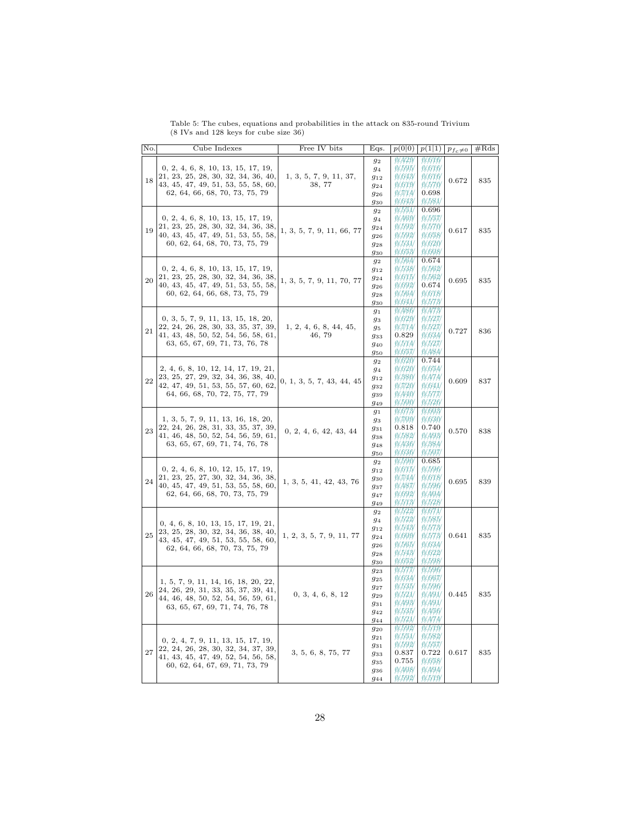Table 5: The cubes, equations and probabilities in the attack on 835-round Trivium (8 IVs and 128 keys for cube size 36)

| No. | Cube Indexes                                                                                                                                       | Free IV bits              | Eqs.                | p(0 0)                  | p(1 1)               | $p_{fc\neq0}$ | #Rds |
|-----|----------------------------------------------------------------------------------------------------------------------------------------------------|---------------------------|---------------------|-------------------------|----------------------|---------------|------|
|     | 0, 2, 4, 6, 8, 10, 13, 15, 17, 19,<br>21, 23, 25, 28, 30, 32, 34, 36, 40,<br>43, 45, 47, 49, 51, 53, 55, 58, 60,<br>62, 64, 66, 68, 70, 73, 75, 79 |                           | $g_2$               | (I).A29                 | 01.6TG               |               |      |
| 18  |                                                                                                                                                    |                           | $\mathfrak{g}_4$    | 01.595/                 | Q/.6TL6/             |               |      |
|     |                                                                                                                                                    | 1, 3, 5, 7, 9, 11, 37,    | $g_{12}$            | 01.64.BI                | Q!.6JL6/             | 0.672         | 835  |
|     |                                                                                                                                                    | 38, 77                    | 924                 | 01.6TL91                | 01.57.01             |               |      |
|     |                                                                                                                                                    |                           | $g_{26}$            | 01.77YA/                | 0.698                |               |      |
|     |                                                                                                                                                    |                           | $g_{30}$            | 01.64.BI                | 01.5/8 A             |               |      |
| 19  |                                                                                                                                                    |                           | $\mathfrak{g}_2$    | <b>01.551</b>           | 0.696                |               |      |
|     | 0, 2, 4, 6, 8, 10, 13, 15, 17, 19,                                                                                                                 |                           | $g_4$               | 01.4691                 | 01.5570              |               |      |
|     | 21, 23, 25, 28, 30, 32, 34, 36, 38,                                                                                                                | 1, 3, 5, 7, 9, 11, 66, 77 | $g_{24}$            | 01.5921                 | 01.57.01             | 0.617         | 835  |
|     | 40, 43, 45, 47, 49, 51, 53, 55, 58,                                                                                                                |                           | $g_{26}$            | 01.5921                 | Q1.658/              |               |      |
|     | 60, 62, 64, 68, 70, 73, 75, 79                                                                                                                     |                           | 928                 | 01.53 A                 | 01.672.01            |               |      |
|     |                                                                                                                                                    |                           | $g_{\rm 30}$        | 01.65B/                 | Ø!608/               |               |      |
|     |                                                                                                                                                    |                           | $\mathfrak{g}_2$    | Ø/.5/6A/                | 0.674                |               |      |
|     | 0, 2, 4, 6, 8, 10, 13, 15, 17, 19,                                                                                                                 |                           | $g_{12}$            | <i>01.1538</i>          | 01.5/621             |               |      |
| 20  | 21, 23, 25, 28, 30, 32, 34, 36, 38,                                                                                                                | 1, 3, 5, 7, 9, 11, 70, 77 | $\mathfrak{g}_{24}$ | 0/.6/15/                | Ø!.5/62/             | 0.695         | 835  |
|     | 40, 43, 45, 47, 49, 51, 53, 55, 58,<br>60, 62, 64, 66, 68, 73, 75, 79                                                                              |                           | $g_{26}$            | Ø/.692/<br>Ø/.5/6A/     | 0.674                |               |      |
|     |                                                                                                                                                    |                           | 928                 | 01.64.1/                | 01.67LBI<br>01.57 B/ |               |      |
|     |                                                                                                                                                    |                           | $g_{30}$            | (0/.AB(S)               | (I).A7 B             |               |      |
|     | 0, 3, 5, 7, 9, 11, 13, 15, 18, 20,                                                                                                                 |                           | $g_1$<br>$g_3$      | Q).629/                 | 01.15/27(1           |               |      |
|     | 22, 24, 26, 28, 30, 33, 35, 37, 39,                                                                                                                | 1, 2, 4, 6, 8, 44, 45,    | $\mathfrak{g}_5$    | 01.77YA/                | 01.15/27(1           |               | 836  |
| 21  | 41, 43, 48, 50, 52, 54, 56, 58, 61,                                                                                                                | 46, 79                    | 933                 | 0.829                   | Ø!.63A/              | 0.727         |      |
|     | 63, 65, 67, 69, 71, 73, 76, 78                                                                                                                     |                           | 940                 | 01.5/YA/                | 01.51270             |               |      |
|     |                                                                                                                                                    |                           | $g_{50}$            | 01.6577                 | 0/.48A               |               |      |
|     |                                                                                                                                                    |                           | $g_2$               | 01.67.01                | 0.744                |               |      |
|     | 2, 4, 6, 8, 10, 12, 14, 17, 19, 21,                                                                                                                |                           | $\mathfrak{g}_4$    | 0/.620/                 | Ø/.65A               |               |      |
|     | 23, 25, 27, 29, 32, 34, 36, 38, 40,                                                                                                                |                           | 912                 | Ø/.B/B/Q/               | 01.A7A               | 0.609         | 837  |
| 22  | 42, 47, 49, 51, 53, 55, 57, 60, 62,                                                                                                                | 0, 1, 3, 5, 7, 43, 44, 45 | 932                 | 01-17/201               | Ø/.641/              |               |      |
|     | 64, 66, 68, 70, 72, 75, 77, 79                                                                                                                     |                           | 939                 | 01.A4A)                 | 01.15/770            |               |      |
|     |                                                                                                                                                    |                           | 949                 | <i><b>Ø/.5/ØØ/</b></i>  | 01.526               |               |      |
|     |                                                                                                                                                    |                           | $g_1$               | 01.67 BI                | 01.60B               |               |      |
|     | 1, 3, 5, 7, 9, 11, 13, 16, 18, 20,                                                                                                                 |                           | $g_3$               | (0).77/Q19/             | Q/.63Q/              |               |      |
| 23  | 22, 24, 26, 28, 31, 33, 35, 37, 39,                                                                                                                | 0, 2, 4, 6, 42, 43, 44    | 931                 | 0.818                   | 0.740                | 0.570         |      |
|     | 41, 46, 48, 50, 52, 54, 56, 59, 61,                                                                                                                |                           | $g_{38}$            | 01.51821                | 01.49B/              |               | 838  |
|     | 63, 65, 67, 69, 71, 74, 76, 78                                                                                                                     |                           | 948                 | 01.436/                 | 01.B8A               |               |      |
|     |                                                                                                                                                    |                           | $g_{50}$            | Ø/.636/                 | 01.5017              |               |      |
|     |                                                                                                                                                    | 1, 3, 5, 41, 42, 43, 76   | $\mathfrak{g}_2$    | Ø/.5/90/                | 0.685                |               |      |
|     | 0, 2, 4, 6, 8, 10, 12, 15, 17, 19,<br>21, 23, 25, 27, 30, 32, 34, 36, 38,<br>40, 45, 47, 49, 51, 53, 55, 58, 60,                                   |                           | 912                 | 0/.6/Y.5/               | Ø!,596/              |               |      |
| 24  |                                                                                                                                                    |                           | 930                 | 01.77/4A/               | Ø!6/18/              | 0.695         | 839  |
|     |                                                                                                                                                    |                           | 937                 | 01.4877                 | Ø!.596/              |               |      |
|     | 62, 64, 66, 68, 70, 73, 75, 79                                                                                                                     |                           | 947                 | 01.6921                 | 01.AQA/              |               |      |
|     |                                                                                                                                                    |                           | $g_{49}$            | (I)!.F/Y B/             | 01.5281              |               |      |
|     |                                                                                                                                                    |                           | $g_2$               | 01.512.21               | 01.67 A              |               |      |
|     | 0, 4, 6, 8, 10, 13, 15, 17, 19, 21,                                                                                                                |                           | 94                  | 01.512.PI<br>() ,5/4,B/ | 01.585/              |               |      |
| 25  | 23, 25, 28, 30, 32, 34, 36, 38, 40,                                                                                                                | 1, 2, 3, 5, 7, 9, 11, 77  | 912                 | QI.6QQ/                 | 01.57 BI<br>01.57.B/ | 0.641         | 835  |
|     | 43, 45, 47, 49, 51, 53, 55, 58, 60,                                                                                                                |                           | 924<br>$g_{26}$     | 01.513.51               | Ø.63A                |               |      |
|     | 62, 64, 66, 68, 70, 73, 75, 79                                                                                                                     |                           | $g_{28}$            | ))!,F/4,B/              | 01.672.PI            |               |      |
|     |                                                                                                                                                    |                           | $g_{30}$            | 01.652/                 | 01.598               |               |      |
|     |                                                                                                                                                    |                           | 923                 | 01.1577.77              | Ø!.596/              |               |      |
|     |                                                                                                                                                    |                           | $g_{25}$            | (I).63A                 | 01.61377/            |               |      |
|     | 1, 5, 7, 9, 11, 14, 16, 18, 20, 22,                                                                                                                |                           | $g_{27}$            | 01.535/                 | Q/.596/              |               |      |
| 26  | 24, 26, 29, 31, 33, 35, 37, 39, 41,                                                                                                                | 0, 3, 4, 6, 8, 12         | 929                 | 01.52.A/                | Ø/.491/              | 0.445         | 835  |
|     | 44, 46, 48, 50, 52, 54, 56, 59, 61,                                                                                                                |                           | 931                 | (I)!A9B                 | Ø/.491/              |               |      |
|     | 63, 65, 67, 69, 71, 74, 76, 78                                                                                                                     |                           | $g_{42}$            | 01.535/                 | (V.456)              |               |      |
|     |                                                                                                                                                    |                           | 944                 | 01.5/2 A/               | 0/.47A               |               |      |
|     |                                                                                                                                                    | 3, 5, 6, 8, 75, 77        | 920                 | 01.59 P                 | 01.5/1.91            |               |      |
| 27  | 0, 2, 4, 7, 9, 11, 13, 15, 17, 19,                                                                                                                 |                           | $g_{21}$            | 01.55 A/                | 01.51821             |               |      |
|     | 22, 24, 26, 28, 30, 32, 34, 37, 39,                                                                                                                |                           | 931                 | <i><b>01.592</b></i>    | 01.5577              |               |      |
|     | 41, 43, 45, 47, 49, 52, 54, 56, 58,                                                                                                                |                           | 933                 | 0.837                   | 0.722                | 0.617         | 835  |
|     | 60, 62, 64, 67, 69, 71, 73, 79                                                                                                                     |                           | 935                 | 0.755                   | 0.658                |               |      |
|     |                                                                                                                                                    |                           | 936                 | 01.4081                 | 01.A9A               |               |      |
|     |                                                                                                                                                    |                           | 944                 | 01.5921                 | (I)!.F/Y (I)         |               |      |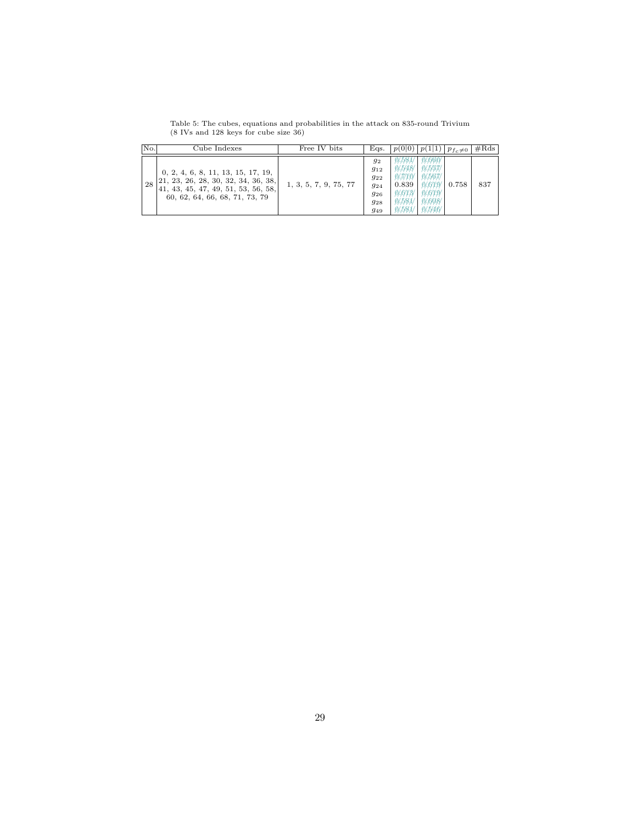| Table 5: The cubes, equations and probabilities in the attack on 835-round Trivium |  |  |  |
|------------------------------------------------------------------------------------|--|--|--|
| $(8 \text{ IVs and } 128 \text{ keys for cube size } 36)$                          |  |  |  |

| No. | Cube Indexes                                                                                                                                                     | Free IV bits          | Eqs.                                                 |                                                            | $p(0 0)   p(1 1)   p_{f_c \neq 0}$                               |       | #Rds |
|-----|------------------------------------------------------------------------------------------------------------------------------------------------------------------|-----------------------|------------------------------------------------------|------------------------------------------------------------|------------------------------------------------------------------|-------|------|
| 28  | 0, 2, 4, 6, 8, 11, 13, 15, 17, 19,<br>$\left[21, 23, 26, 28, 30, 32, 34, 36, 38\right]$<br>41, 43, 45, 47, 49, 51, 53, 56, 58,<br>60, 62, 64, 66, 68, 71, 73, 79 | 1, 3, 5, 7, 9, 75, 77 | $g_2$<br>912<br>$g_{22}$<br>924<br>926<br>928<br>949 | 0.548<br>01.77Y.XX<br>0.839<br>01.67LBI<br>01.581<br>0/581 | 01.557<br>Q).15/677<br>Ø!.6/¥£<br>Ø/.6/1/9/<br>0/.608<br>0/.5/46 | 0.758 | 837  |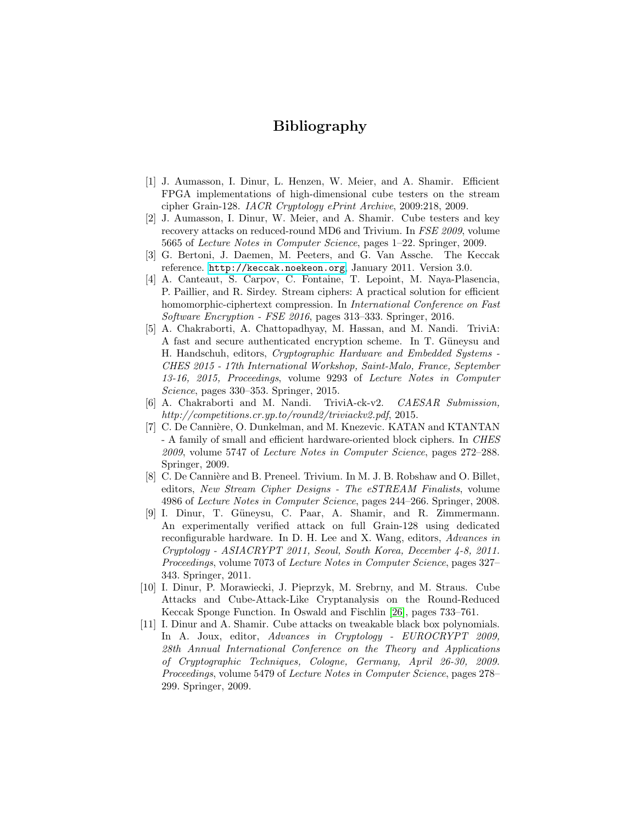## Bibliography

- <span id="page-29-6"></span>[1] J. Aumasson, I. Dinur, L. Henzen, W. Meier, and A. Shamir. Efficient FPGA implementations of high-dimensional cube testers on the stream cipher Grain-128. IACR Cryptology ePrint Archive, 2009:218, 2009.
- <span id="page-29-1"></span>[2] J. Aumasson, I. Dinur, W. Meier, and A. Shamir. Cube testers and key recovery attacks on reduced-round MD6 and Trivium. In FSE 2009, volume 5665 of Lecture Notes in Computer Science, pages 1–22. Springer, 2009.
- <span id="page-29-4"></span>[3] G. Bertoni, J. Daemen, M. Peeters, and G. Van Assche. The Keccak reference. <http://keccak.noekeon.org>, January 2011. Version 3.0.
- <span id="page-29-9"></span>[4] A. Canteaut, S. Carpov, C. Fontaine, T. Lepoint, M. Naya-Plasencia, P. Paillier, and R. Sirdey. Stream ciphers: A practical solution for efficient homomorphic-ciphertext compression. In *International Conference on Fast* Software Encryption - FSE 2016, pages 313–333. Springer, 2016.
- <span id="page-29-7"></span>[5] A. Chakraborti, A. Chattopadhyay, M. Hassan, and M. Nandi. TriviA: A fast and secure authenticated encryption scheme. In T. Güneysu and H. Handschuh, editors, Cryptographic Hardware and Embedded Systems - CHES 2015 - 17th International Workshop, Saint-Malo, France, September 13-16, 2015, Proceedings, volume 9293 of Lecture Notes in Computer Science, pages 330–353. Springer, 2015.
- <span id="page-29-8"></span>[6] A. Chakraborti and M. Nandi. TriviA-ck-v2. CAESAR Submission, http://competitions.cr.yp.to/round2/triviackv2.pdf, 2015.
- <span id="page-29-10"></span>[7] C. De Cannière, O. Dunkelman, and M. Knezevic. KATAN and KTANTAN - A family of small and efficient hardware-oriented block ciphers. In CHES 2009, volume 5747 of Lecture Notes in Computer Science, pages 272–288. Springer, 2009.
- <span id="page-29-2"></span>[8] C. De Cannière and B. Preneel. Trivium. In M. J. B. Robshaw and O. Billet, editors, New Stream Cipher Designs - The eSTREAM Finalists, volume 4986 of Lecture Notes in Computer Science, pages 244–266. Springer, 2008.
- <span id="page-29-3"></span>[9] I. Dinur, T. Güneysu, C. Paar, A. Shamir, and R. Zimmermann. An experimentally verified attack on full Grain-128 using dedicated reconfigurable hardware. In D. H. Lee and X. Wang, editors, Advances in Cryptology - ASIACRYPT 2011, Seoul, South Korea, December 4-8, 2011. Proceedings, volume 7073 of Lecture Notes in Computer Science, pages 327– 343. Springer, 2011.
- <span id="page-29-5"></span>[10] I. Dinur, P. Morawiecki, J. Pieprzyk, M. Srebrny, and M. Straus. Cube Attacks and Cube-Attack-Like Cryptanalysis on the Round-Reduced Keccak Sponge Function. In Oswald and Fischlin [\[26\]](#page-31-11), pages 733–761.
- <span id="page-29-0"></span>[11] I. Dinur and A. Shamir. Cube attacks on tweakable black box polynomials. In A. Joux, editor, Advances in Cryptology - EUROCRYPT 2009, 28th Annual International Conference on the Theory and Applications of Cryptographic Techniques, Cologne, Germany, April 26-30, 2009. Proceedings, volume 5479 of Lecture Notes in Computer Science, pages 278– 299. Springer, 2009.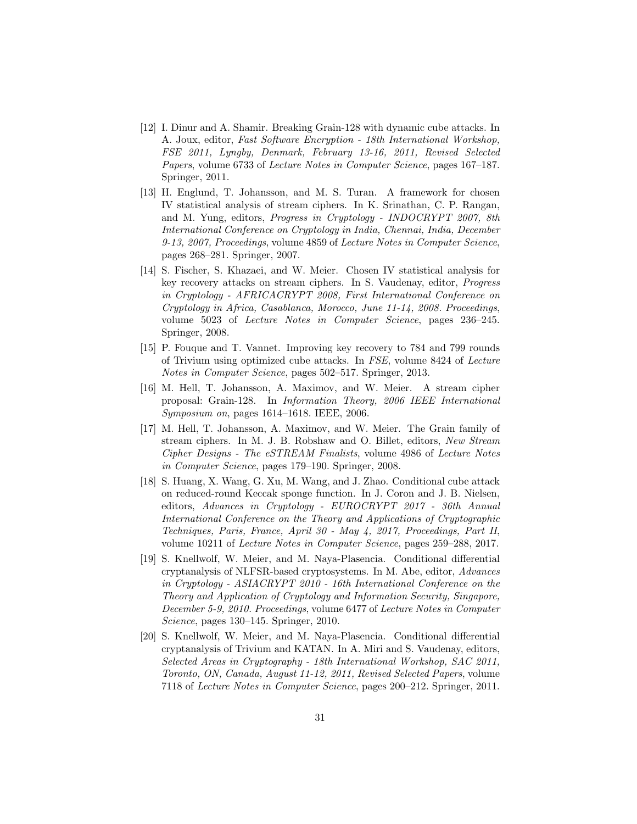- <span id="page-30-0"></span>[12] I. Dinur and A. Shamir. Breaking Grain-128 with dynamic cube attacks. In A. Joux, editor, Fast Software Encryption - 18th International Workshop, FSE 2011, Lyngby, Denmark, February 13-16, 2011, Revised Selected Papers, volume 6733 of Lecture Notes in Computer Science, pages 167–187. Springer, 2011.
- <span id="page-30-4"></span>[13] H. Englund, T. Johansson, and M. S. Turan. A framework for chosen IV statistical analysis of stream ciphers. In K. Srinathan, C. P. Rangan, and M. Yung, editors, Progress in Cryptology - INDOCRYPT 2007, 8th International Conference on Cryptology in India, Chennai, India, December 9-13, 2007, Proceedings, volume 4859 of Lecture Notes in Computer Science, pages 268–281. Springer, 2007.
- <span id="page-30-5"></span>[14] S. Fischer, S. Khazaei, and W. Meier. Chosen IV statistical analysis for key recovery attacks on stream ciphers. In S. Vaudenay, editor, Progress in Cryptology - AFRICACRYPT 2008, First International Conference on Cryptology in Africa, Casablanca, Morocco, June 11-14, 2008. Proceedings, volume 5023 of Lecture Notes in Computer Science, pages 236–245. Springer, 2008.
- <span id="page-30-2"></span>[15] P. Fouque and T. Vannet. Improving key recovery to 784 and 799 rounds of Trivium using optimized cube attacks. In FSE, volume 8424 of Lecture Notes in Computer Science, pages 502–517. Springer, 2013.
- <span id="page-30-3"></span>[16] M. Hell, T. Johansson, A. Maximov, and W. Meier. A stream cipher proposal: Grain-128. In Information Theory, 2006 IEEE International Symposium on, pages 1614–1618. IEEE, 2006.
- <span id="page-30-7"></span>[17] M. Hell, T. Johansson, A. Maximov, and W. Meier. The Grain family of stream ciphers. In M. J. B. Robshaw and O. Billet, editors, New Stream Cipher Designs - The eSTREAM Finalists, volume 4986 of Lecture Notes in Computer Science, pages 179–190. Springer, 2008.
- <span id="page-30-1"></span>[18] S. Huang, X. Wang, G. Xu, M. Wang, and J. Zhao. Conditional cube attack on reduced-round Keccak sponge function. In J. Coron and J. B. Nielsen, editors, Advances in Cryptology - EUROCRYPT 2017 - 36th Annual International Conference on the Theory and Applications of Cryptographic Techniques, Paris, France, April 30 - May 4, 2017, Proceedings, Part II, volume 10211 of Lecture Notes in Computer Science, pages 259–288, 2017.
- <span id="page-30-6"></span>[19] S. Knellwolf, W. Meier, and M. Naya-Plasencia. Conditional differential cryptanalysis of NLFSR-based cryptosystems. In M. Abe, editor, Advances in Cryptology - ASIACRYPT 2010 - 16th International Conference on the Theory and Application of Cryptology and Information Security, Singapore, December 5-9, 2010. Proceedings, volume 6477 of Lecture Notes in Computer Science, pages 130–145. Springer, 2010.
- <span id="page-30-8"></span>[20] S. Knellwolf, W. Meier, and M. Naya-Plasencia. Conditional differential cryptanalysis of Trivium and KATAN. In A. Miri and S. Vaudenay, editors, Selected Areas in Cryptography - 18th International Workshop, SAC 2011, Toronto, ON, Canada, August 11-12, 2011, Revised Selected Papers, volume 7118 of Lecture Notes in Computer Science, pages 200–212. Springer, 2011.